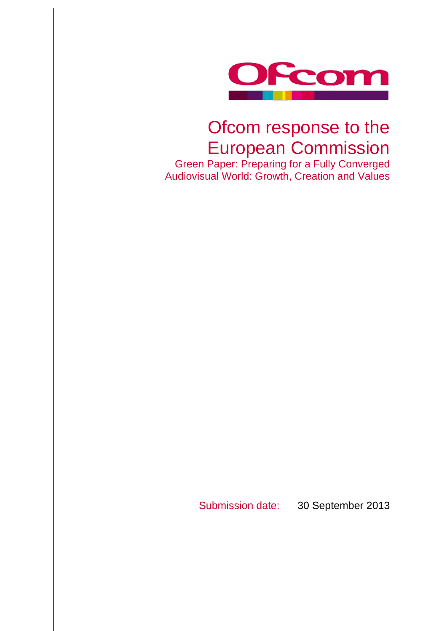

## Ofcom response to the European Commission

Green Paper: Preparing for a Fully Converged Audiovisual World: Growth, Creation and Values

Submission date: 30 September 2013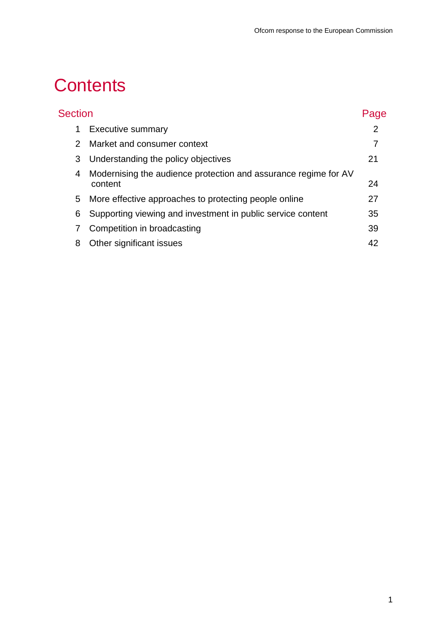# **Contents**

| <b>Section</b> |                                                                            | Page |
|----------------|----------------------------------------------------------------------------|------|
| 1              | <b>Executive summary</b>                                                   | 2    |
| $\mathcal{P}$  | Market and consumer context                                                |      |
| 3              | Understanding the policy objectives                                        | 21   |
| 4              | Modernising the audience protection and assurance regime for AV<br>content | 24   |
| 5              | More effective approaches to protecting people online                      | 27   |
| 6              | Supporting viewing and investment in public service content                | 35   |
|                | Competition in broadcasting                                                | 39   |
| 8              | Other significant issues                                                   | 42   |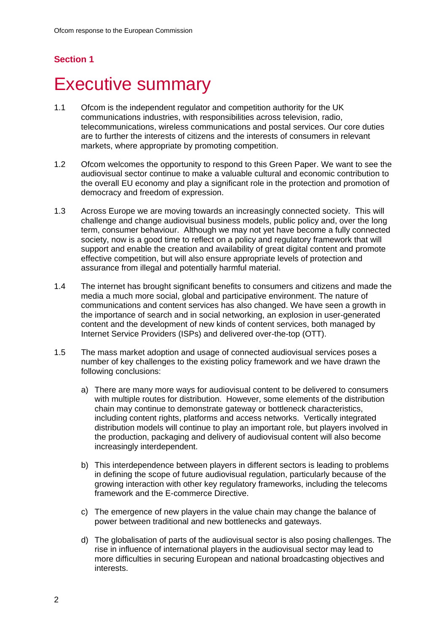## **Section 1**

## <span id="page-2-0"></span>**Executive summary**

- 1.1 Ofcom is the independent regulator and competition authority for the UK communications industries, with responsibilities across television, radio, telecommunications, wireless communications and postal services. Our core duties are to further the interests of citizens and the interests of consumers in relevant markets, where appropriate by promoting competition.
- 1.2 Ofcom welcomes the opportunity to respond to this Green Paper. We want to see the audiovisual sector continue to make a valuable cultural and economic contribution to the overall EU economy and play a significant role in the protection and promotion of democracy and freedom of expression.
- 1.3 Across Europe we are moving towards an increasingly connected society. This will challenge and change audiovisual business models, public policy and, over the long term, consumer behaviour. Although we may not yet have become a fully connected society, now is a good time to reflect on a policy and regulatory framework that will support and enable the creation and availability of great digital content and promote effective competition, but will also ensure appropriate levels of protection and assurance from illegal and potentially harmful material.
- 1.4 The internet has brought significant benefits to consumers and citizens and made the media a much more social, global and participative environment. The nature of communications and content services has also changed. We have seen a growth in the importance of search and in social networking, an explosion in user-generated content and the development of new kinds of content services, both managed by Internet Service Providers (ISPs) and delivered over-the-top (OTT).
- 1.5 The mass market adoption and usage of connected audiovisual services poses a number of key challenges to the existing policy framework and we have drawn the following conclusions:
	- a) There are many more ways for audiovisual content to be delivered to consumers with multiple routes for distribution. However, some elements of the distribution chain may continue to demonstrate gateway or bottleneck characteristics, including content rights, platforms and access networks. Vertically integrated distribution models will continue to play an important role, but players involved in the production, packaging and delivery of audiovisual content will also become increasingly interdependent.
	- b) This interdependence between players in different sectors is leading to problems in defining the scope of future audiovisual regulation, particularly because of the growing interaction with other key regulatory frameworks, including the telecoms framework and the E-commerce Directive.
	- c) The emergence of new players in the value chain may change the balance of power between traditional and new bottlenecks and gateways.
	- d) The globalisation of parts of the audiovisual sector is also posing challenges. The rise in influence of international players in the audiovisual sector may lead to more difficulties in securing European and national broadcasting objectives and interests.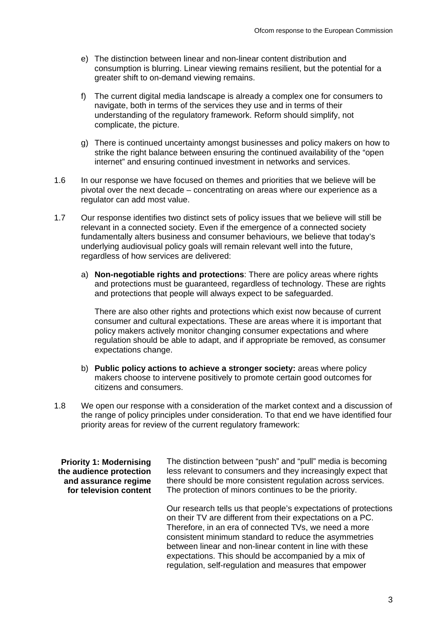- e) The distinction between linear and non-linear content distribution and consumption is blurring. Linear viewing remains resilient, but the potential for a greater shift to on-demand viewing remains.
- f) The current digital media landscape is already a complex one for consumers to navigate, both in terms of the services they use and in terms of their understanding of the regulatory framework. Reform should simplify, not complicate, the picture.
- g) There is continued uncertainty amongst businesses and policy makers on how to strike the right balance between ensuring the continued availability of the "open internet" and ensuring continued investment in networks and services.
- 1.6 In our response we have focused on themes and priorities that we believe will be pivotal over the next decade – concentrating on areas where our experience as a regulator can add most value.
- 1.7 Our response identifies two distinct sets of policy issues that we believe will still be relevant in a connected society. Even if the emergence of a connected society fundamentally alters business and consumer behaviours, we believe that today's underlying audiovisual policy goals will remain relevant well into the future, regardless of how services are delivered:
	- a) **Non-negotiable rights and protections**: There are policy areas where rights and protections must be guaranteed, regardless of technology. These are rights and protections that people will always expect to be safeguarded.

There are also other rights and protections which exist now because of current consumer and cultural expectations. These are areas where it is important that policy makers actively monitor changing consumer expectations and where regulation should be able to adapt, and if appropriate be removed, as consumer expectations change.

- b) **Public policy actions to achieve a stronger society:** areas where policy makers choose to intervene positively to promote certain good outcomes for citizens and consumers.
- 1.8 We open our response with a consideration of the market context and a discussion of the range of policy principles under consideration. To that end we have identified four priority areas for review of the current regulatory framework:

**Priority 1: Modernising the audience protection and assurance regime for television content** The distinction between "push" and "pull" media is becoming less relevant to consumers and they increasingly expect that there should be more consistent regulation across services. The protection of minors continues to be the priority.

Our research tells us that people's expectations of protections on their TV are different from their expectations on a PC. Therefore, in an era of connected TVs, we need a more consistent minimum standard to reduce the asymmetries between linear and non-linear content in line with these expectations. This should be accompanied by a mix of regulation, self-regulation and measures that empower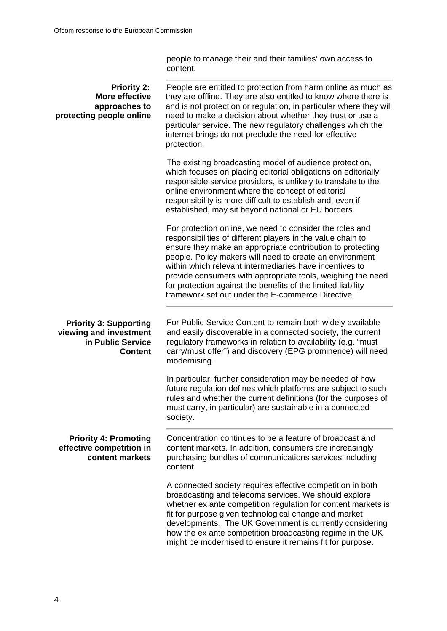people to manage their and their families' own access to content.

| <b>Priority 2:</b><br><b>More effective</b><br>approaches to<br>protecting people online       | People are entitled to protection from harm online as much as<br>they are offline. They are also entitled to know where there is<br>and is not protection or regulation, in particular where they will<br>need to make a decision about whether they trust or use a<br>particular service. The new regulatory challenges which the<br>internet brings do not preclude the need for effective<br>protection.                                                                                      |
|------------------------------------------------------------------------------------------------|--------------------------------------------------------------------------------------------------------------------------------------------------------------------------------------------------------------------------------------------------------------------------------------------------------------------------------------------------------------------------------------------------------------------------------------------------------------------------------------------------|
|                                                                                                | The existing broadcasting model of audience protection,<br>which focuses on placing editorial obligations on editorially<br>responsible service providers, is unlikely to translate to the<br>online environment where the concept of editorial<br>responsibility is more difficult to establish and, even if<br>established, may sit beyond national or EU borders.                                                                                                                             |
|                                                                                                | For protection online, we need to consider the roles and<br>responsibilities of different players in the value chain to<br>ensure they make an appropriate contribution to protecting<br>people. Policy makers will need to create an environment<br>within which relevant intermediaries have incentives to<br>provide consumers with appropriate tools, weighing the need<br>for protection against the benefits of the limited liability<br>framework set out under the E-commerce Directive. |
| <b>Priority 3: Supporting</b><br>viewing and investment<br>in Public Service<br><b>Content</b> | For Public Service Content to remain both widely available<br>and easily discoverable in a connected society, the current<br>regulatory frameworks in relation to availability (e.g. "must<br>carry/must offer") and discovery (EPG prominence) will need<br>modernising.                                                                                                                                                                                                                        |
|                                                                                                | In particular, further consideration may be needed of how<br>future regulation defines which platforms are subject to such<br>rules and whether the current definitions (for the purposes of<br>must carry, in particular) are sustainable in a connected<br>society.                                                                                                                                                                                                                            |
| <b>Priority 4: Promoting</b><br>effective competition in<br>content markets                    | Concentration continues to be a feature of broadcast and<br>content markets. In addition, consumers are increasingly<br>purchasing bundles of communications services including<br>content.                                                                                                                                                                                                                                                                                                      |
|                                                                                                | A connected society requires effective competition in both<br>broadcasting and telecoms services. We should explore<br>whether ex ante competition regulation for content markets is<br>fit for purpose given technological change and market<br>developments. The UK Government is currently considering<br>how the ex ante competition broadcasting regime in the UK<br>might be modernised to ensure it remains fit for purpose.                                                              |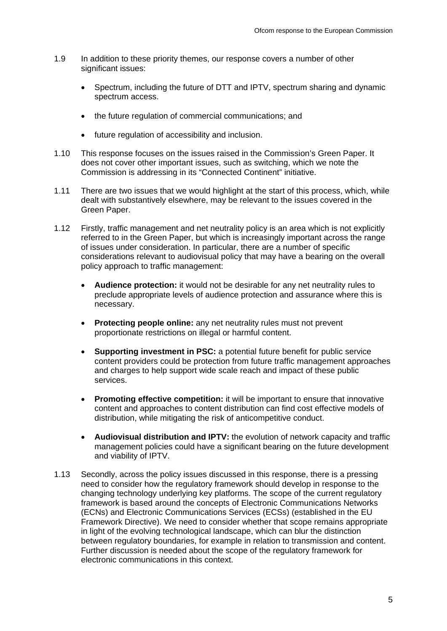- 1.9 In addition to these priority themes, our response covers a number of other significant issues:
	- Spectrum, including the future of DTT and IPTV, spectrum sharing and dynamic spectrum access.
	- the future regulation of commercial communications; and
	- future regulation of accessibility and inclusion.
- 1.10 This response focuses on the issues raised in the Commission's Green Paper. It does not cover other important issues, such as switching, which we note the Commission is addressing in its "Connected Continent" initiative.
- 1.11 There are two issues that we would highlight at the start of this process, which, while dealt with substantively elsewhere, may be relevant to the issues covered in the Green Paper.
- 1.12 Firstly, traffic management and net neutrality policy is an area which is not explicitly referred to in the Green Paper, but which is increasingly important across the range of issues under consideration. In particular, there are a number of specific considerations relevant to audiovisual policy that may have a bearing on the overall policy approach to traffic management:
	- **Audience protection:** it would not be desirable for any net neutrality rules to preclude appropriate levels of audience protection and assurance where this is necessary.
	- **Protecting people online:** any net neutrality rules must not prevent proportionate restrictions on illegal or harmful content.
	- **Supporting investment in PSC:** a potential future benefit for public service content providers could be protection from future traffic management approaches and charges to help support wide scale reach and impact of these public services.
	- **Promoting effective competition:** it will be important to ensure that innovative content and approaches to content distribution can find cost effective models of distribution, while mitigating the risk of anticompetitive conduct.
	- **Audiovisual distribution and IPTV:** the evolution of network capacity and traffic management policies could have a significant bearing on the future development and viability of IPTV.
- 1.13 Secondly, across the policy issues discussed in this response, there is a pressing need to consider how the regulatory framework should develop in response to the changing technology underlying key platforms. The scope of the current regulatory framework is based around the concepts of Electronic Communications Networks (ECNs) and Electronic Communications Services (ECSs) (established in the EU Framework Directive). We need to consider whether that scope remains appropriate in light of the evolving technological landscape, which can blur the distinction between regulatory boundaries, for example in relation to transmission and content. Further discussion is needed about the scope of the regulatory framework for electronic communications in this context.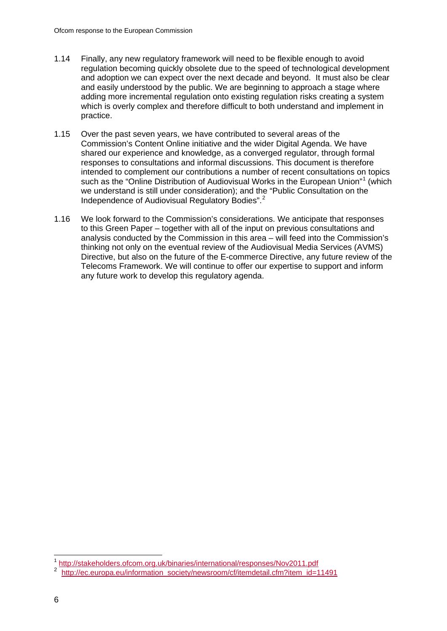- 1.14 Finally, any new regulatory framework will need to be flexible enough to avoid regulation becoming quickly obsolete due to the speed of technological development and adoption we can expect over the next decade and beyond. It must also be clear and easily understood by the public. We are beginning to approach a stage where adding more incremental regulation onto existing regulation risks creating a system which is overly complex and therefore difficult to both understand and implement in practice.
- 1.15 Over the past seven years, we have contributed to several areas of the Commission's Content Online initiative and the wider Digital Agenda. We have shared our experience and knowledge, as a converged regulator, through formal responses to consultations and informal discussions. This document is therefore intended to complement our contributions a number of recent consultations on topics such as the "Online Distribution of Audiovisual Works in the European Union"<sup>[1](#page-6-0)</sup> (which we understand is still under consideration); and the "Public Consultation on the Independence of Audiovisual Regulatory Bodies".[2](#page-6-1)
- 1.16 We look forward to the Commission's considerations. We anticipate that responses to this Green Paper – together with all of the input on previous consultations and analysis conducted by the Commission in this area – will feed into the Commission's thinking not only on the eventual review of the Audiovisual Media Services (AVMS) Directive, but also on the future of the E-commerce Directive, any future review of the Telecoms Framework. We will continue to offer our expertise to support and inform any future work to develop this regulatory agenda.

<span id="page-6-0"></span> <sup>1</sup> <http://stakeholders.ofcom.org.uk/binaries/international/responses/Nov2011.pdf>

<span id="page-6-1"></span><sup>2</sup> [http://ec.europa.eu/information\\_society/newsroom/cf/itemdetail.cfm?item\\_id=11491](http://ec.europa.eu/information_society/newsroom/cf/itemdetail.cfm?item_id=11491)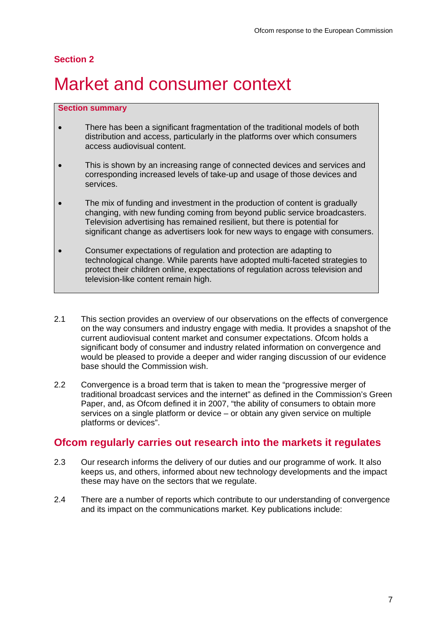#### **Section 2**

## <span id="page-7-0"></span>Market and consumer context

#### **Section summary**

- There has been a significant fragmentation of the traditional models of both distribution and access, particularly in the platforms over which consumers access audiovisual content.
- This is shown by an increasing range of connected devices and services and corresponding increased levels of take-up and usage of those devices and services.
- The mix of funding and investment in the production of content is gradually changing, with new funding coming from beyond public service broadcasters. Television advertising has remained resilient, but there is potential for significant change as advertisers look for new ways to engage with consumers.
- Consumer expectations of regulation and protection are adapting to technological change. While parents have adopted multi-faceted strategies to protect their children online, expectations of regulation across television and television-like content remain high.
- 2.1 This section provides an overview of our observations on the effects of convergence on the way consumers and industry engage with media. It provides a snapshot of the current audiovisual content market and consumer expectations. Ofcom holds a significant body of consumer and industry related information on convergence and would be pleased to provide a deeper and wider ranging discussion of our evidence base should the Commission wish.
- 2.2 Convergence is a broad term that is taken to mean the "progressive merger of traditional broadcast services and the internet" as defined in the Commission's Green Paper, and, as Ofcom defined it in 2007, "the ability of consumers to obtain more services on a single platform or device – or obtain any given service on multiple platforms or devices".

## **Ofcom regularly carries out research into the markets it regulates**

- 2.3 Our research informs the delivery of our duties and our programme of work. It also keeps us, and others, informed about new technology developments and the impact these may have on the sectors that we regulate.
- 2.4 There are a number of reports which contribute to our understanding of convergence and its impact on the communications market. Key publications include: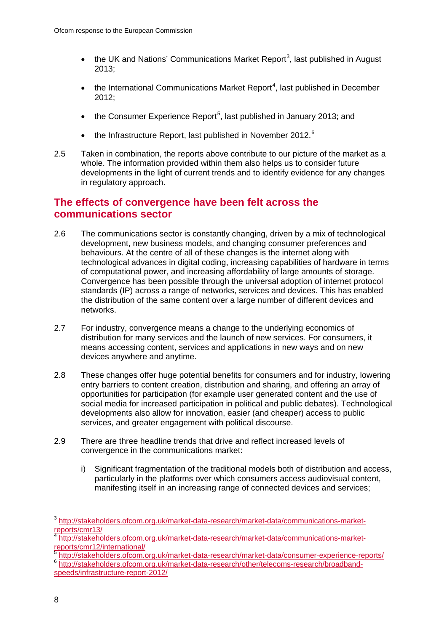- the UK and Nations' Communications Market Report<sup>[3](#page-8-0)</sup>, last published in August 2013;
- $\bullet$  the International Communications Market Report<sup>[4](#page-8-1)</sup>, last published in December  $2012$
- the Consumer Experience Report<sup>[5](#page-8-2)</sup>, last published in January 2013; and
- the Infrastructure Report, last published in November 2012. $^6$  $^6$
- 2.5 Taken in combination, the reports above contribute to our picture of the market as a whole. The information provided within them also helps us to consider future developments in the light of current trends and to identify evidence for any changes in regulatory approach.

## **The effects of convergence have been felt across the communications sector**

- 2.6 The communications sector is constantly changing, driven by a mix of technological development, new business models, and changing consumer preferences and behaviours. At the centre of all of these changes is the internet along with technological advances in digital coding, increasing capabilities of hardware in terms of computational power, and increasing affordability of large amounts of storage. Convergence has been possible through the universal adoption of internet protocol standards (IP) across a range of networks, services and devices. This has enabled the distribution of the same content over a large number of different devices and networks.
- 2.7 For industry, convergence means a change to the underlying economics of distribution for many services and the launch of new services. For consumers, it means accessing content, services and applications in new ways and on new devices anywhere and anytime.
- 2.8 These changes offer huge potential benefits for consumers and for industry, lowering entry barriers to content creation, distribution and sharing, and offering an array of opportunities for participation (for example user generated content and the use of social media for increased participation in political and public debates). Technological developments also allow for innovation, easier (and cheaper) access to public services, and greater engagement with political discourse.
- 2.9 There are three headline trends that drive and reflect increased levels of convergence in the communications market:
	- i) Significant fragmentation of the traditional models both of distribution and access, particularly in the platforms over which consumers access audiovisual content, manifesting itself in an increasing range of connected devices and services;

<span id="page-8-0"></span> <sup>3</sup> [http://stakeholders.ofcom.org.uk/market-data-research/market-data/communications-market](http://stakeholders.ofcom.org.uk/market-data-research/market-data/communications-market-reports/cmr13/)[reports/cmr13/](http://stakeholders.ofcom.org.uk/market-data-research/market-data/communications-market-reports/cmr13/)

<span id="page-8-1"></span><sup>4</sup> [http://stakeholders.ofcom.org.uk/market-data-research/market-data/communications-market](http://stakeholders.ofcom.org.uk/market-data-research/market-data/communications-market-reports/cmr12/international/)[reports/cmr12/international/](http://stakeholders.ofcom.org.uk/market-data-research/market-data/communications-market-reports/cmr12/international/)<br>
The ports/cmr12/international/<br>
Shttp://stakeholders.ofcom.org.uk/market-data-research/market-data/consumer-experience-reports/

<span id="page-8-3"></span><span id="page-8-2"></span><sup>6</sup> http://stakeholders.ofcom.org.uk/market-data-research/other/telecoms-research/broadband-<br>[http://stakeholders.ofcom.org.uk/market-data-research/other/telecoms-research/broadband](http://stakeholders.ofcom.org.uk/market-data-research/other/telecoms-research/broadband-speeds/infrastructure-report-2012/)[speeds/infrastructure-report-2012/](http://stakeholders.ofcom.org.uk/market-data-research/other/telecoms-research/broadband-speeds/infrastructure-report-2012/)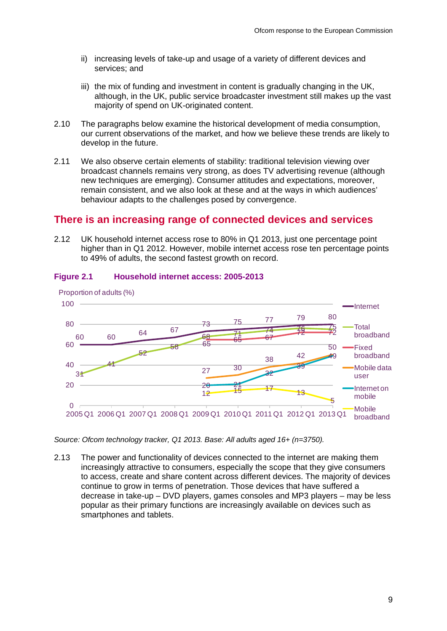- ii) increasing levels of take-up and usage of a variety of different devices and services; and
- iii) the mix of funding and investment in content is gradually changing in the UK, although, in the UK, public service broadcaster investment still makes up the vast majority of spend on UK-originated content.
- 2.10 The paragraphs below examine the historical development of media consumption, our current observations of the market, and how we believe these trends are likely to develop in the future.
- 2.11 We also observe certain elements of stability: traditional television viewing over broadcast channels remains very strong, as does TV advertising revenue (although new techniques are emerging). Consumer attitudes and expectations, moreover, remain consistent, and we also look at these and at the ways in which audiences' behaviour adapts to the challenges posed by convergence.

### **There is an increasing range of connected devices and services**

2.12 UK household internet access rose to 80% in Q1 2013, just one percentage point higher than in Q1 2012. However, mobile internet access rose ten percentage points to 49% of adults, the second fastest growth on record.



#### **Figure 2.1 Household internet access: 2005-2013**

*Source: Ofcom technology tracker, Q1 2013. Base: All adults aged 16+ (n=3750).*

2.13 The power and functionality of devices connected to the internet are making them increasingly attractive to consumers, especially the scope that they give consumers to access, create and share content across different devices. The majority of devices continue to grow in terms of penetration. Those devices that have suffered a decrease in take-up – DVD players, games consoles and MP3 players – may be less popular as their primary functions are increasingly available on devices such as smartphones and tablets.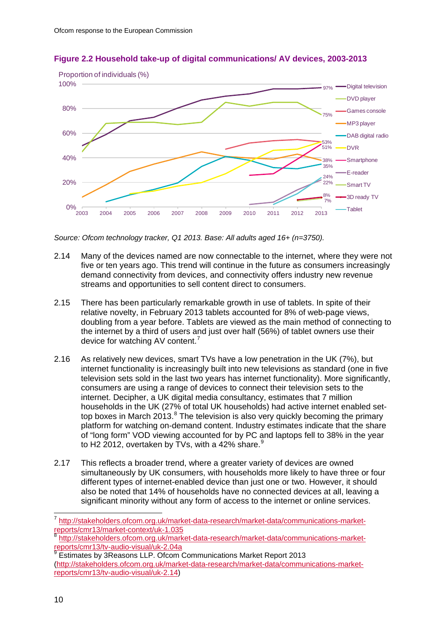

#### **Figure 2.2 Household take-up of digital communications/ AV devices, 2003-2013**

*Source: Ofcom technology tracker, Q1 2013. Base: All adults aged 16+ (n=3750).*

- 2.14 Many of the devices named are now connectable to the internet, where they were not five or ten years ago. This trend will continue in the future as consumers increasingly demand connectivity from devices, and connectivity offers industry new revenue streams and opportunities to sell content direct to consumers.
- 2.15 There has been particularly remarkable growth in use of tablets. In spite of their relative novelty, in February 2013 tablets accounted for 8% of web-page views, doubling from a year before. Tablets are viewed as the main method of connecting to the internet by a third of users and just over half (56%) of tablet owners use their device for watching AV content.[7](#page-10-0)
- 2.16 As relatively new devices, smart TVs have a low penetration in the UK (7%), but internet functionality is increasingly built into new televisions as standard (one in five television sets sold in the last two years has internet functionality). More significantly, consumers are using a range of devices to connect their television sets to the internet. Decipher, a UK digital media consultancy, estimates that 7 million households in the UK (27% of total UK households) had active internet enabled settop boxes in March 2013. $8$  The television is also very quickly becoming the primary platform for watching on-demand content. Industry estimates indicate that the share of "long form" VOD viewing accounted for by PC and laptops fell to 38% in the year to H2 2012, overtaken by TVs, with a 42% share. $9$
- 2.17 This reflects a broader trend, where a greater variety of devices are owned simultaneously by UK consumers, with households more likely to have three or four different types of internet-enabled device than just one or two. However, it should also be noted that 14% of households have no connected devices at all, leaving a significant minority without any form of access to the internet or online services.

<span id="page-10-0"></span> <sup>7</sup> [http://stakeholders.ofcom.org.uk/market-data-research/market-data/communications-market](http://stakeholders.ofcom.org.uk/market-data-research/market-data/communications-market-reports/cmr13/market-context/uk-1.035)[reports/cmr13/market-context/uk-1.035](http://stakeholders.ofcom.org.uk/market-data-research/market-data/communications-market-reports/cmr13/market-context/uk-1.035)

<span id="page-10-1"></span><sup>8</sup> [http://stakeholders.ofcom.org.uk/market-data-research/market-data/communications-market](http://stakeholders.ofcom.org.uk/market-data-research/market-data/communications-market-reports/cmr13/tv-audio-visual/uk-2.04a)[reports/cmr13/tv-audio-visual/uk-2.04a](http://stakeholders.ofcom.org.uk/market-data-research/market-data/communications-market-reports/cmr13/tv-audio-visual/uk-2.04a)

<span id="page-10-2"></span><sup>9</sup> Estimates by 3Reasons LLP. Ofcom Communications Market Report 2013 [\(http://stakeholders.ofcom.org.uk/market-data-research/market-data/communications-market](http://stakeholders.ofcom.org.uk/market-data-research/market-data/communications-market-reports/cmr13/tv-audio-visual/uk-2.14)[reports/cmr13/tv-audio-visual/uk-2.14\)](http://stakeholders.ofcom.org.uk/market-data-research/market-data/communications-market-reports/cmr13/tv-audio-visual/uk-2.14)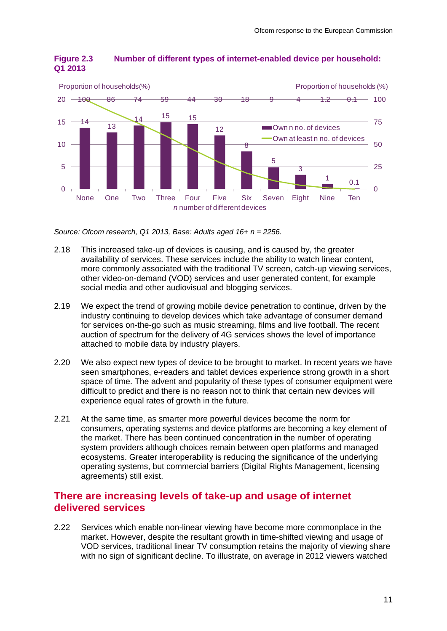

#### **Figure 2.3 Number of different types of internet-enabled device per household: Q1 2013**

*Source: Ofcom research, Q1 2013, Base: Adults aged 16+ n = 2256.*

- 2.18 This increased take-up of devices is causing, and is caused by, the greater availability of services. These services include the ability to watch linear content, more commonly associated with the traditional TV screen, catch-up viewing services, other video-on-demand (VOD) services and user generated content, for example social media and other audiovisual and blogging services.
- 2.19 We expect the trend of growing mobile device penetration to continue, driven by the industry continuing to develop devices which take advantage of consumer demand for services on-the-go such as music streaming, films and live football. The recent auction of spectrum for the delivery of 4G services shows the level of importance attached to mobile data by industry players.
- 2.20 We also expect new types of device to be brought to market. In recent years we have seen smartphones, e-readers and tablet devices experience strong growth in a short space of time. The advent and popularity of these types of consumer equipment were difficult to predict and there is no reason not to think that certain new devices will experience equal rates of growth in the future.
- 2.21 At the same time, as smarter more powerful devices become the norm for consumers, operating systems and device platforms are becoming a key element of the market. There has been continued concentration in the number of operating system providers although choices remain between open platforms and managed ecosystems. Greater interoperability is reducing the significance of the underlying operating systems, but commercial barriers (Digital Rights Management, licensing agreements) still exist.

### **There are increasing levels of take-up and usage of internet delivered services**

2.22 Services which enable non-linear viewing have become more commonplace in the market. However, despite the resultant growth in time-shifted viewing and usage of VOD services, traditional linear TV consumption retains the majority of viewing share with no sign of significant decline. To illustrate, on average in 2012 viewers watched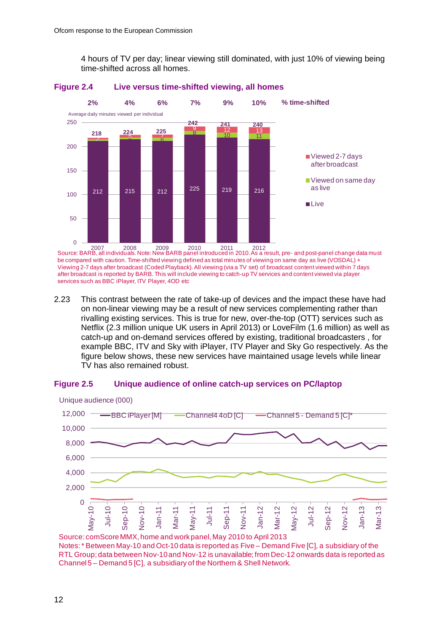4 hours of TV per day; linear viewing still dominated, with just 10% of viewing being time-shifted across all homes.



#### **Figure 2.4 Live versus time-shifted viewing, all homes**

Source: BARB, all individuals. Note: New BARB panel introduced in 2010. As a result, pre- and post-panel change data must 2007 2008 2009 2010 2011 2012 be compared with caution. Time-shifted viewing defined as total minutes of viewing on same day as live (VOSDAL) + Viewing 2-7 days after broadcast (Coded Playback). All viewing (via a TV set) of broadcast content viewed within 7 days after broadcast is reported by BARB. This will include viewing to catch-up TV services and content viewed via player services such as BBC iPlayer, ITV Player, 4OD etc

2.23 This contrast between the rate of take-up of devices and the impact these have had on non-linear viewing may be a result of new services complementing rather than rivalling existing services. This is true for new, over-the-top (OTT) services such as Netflix (2.3 million unique UK users in April 2013) or LoveFilm (1.6 million) as well as catch-up and on-demand services offered by existing, traditional broadcasters , for example BBC, ITV and Sky with iPlayer, ITV Player and Sky Go respectively. As the figure below shows, these new services have maintained usage levels while linear TV has also remained robust.

#### **Figure 2.5 Unique audience of online catch-up services on PC/laptop**



Source: comScoreMMX, home and work panel, May 2010 to April 2013 Notes: \* Between May-10 and Oct-10 data is reported as Five – Demand Five [C], a subsidiary of the RTL Group; data between Nov-10 and Nov-12 is unavailable; from Dec-12 onwards data is reported as Channel 5 – Demand 5 [C], a subsidiary of the Northern & Shell Network.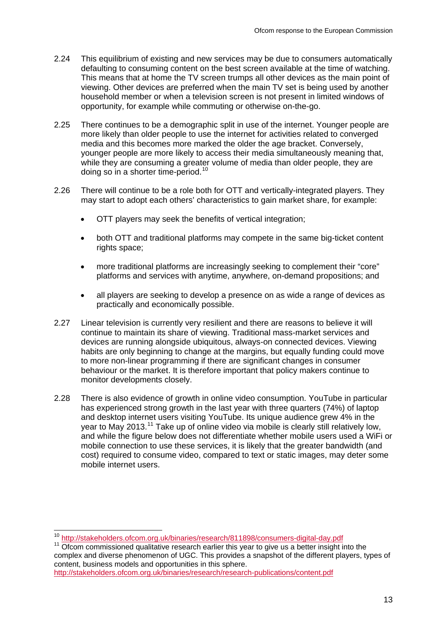- 2.24 This equilibrium of existing and new services may be due to consumers automatically defaulting to consuming content on the best screen available at the time of watching. This means that at home the TV screen trumps all other devices as the main point of viewing. Other devices are preferred when the main TV set is being used by another household member or when a television screen is not present in limited windows of opportunity, for example while commuting or otherwise on-the-go.
- 2.25 There continues to be a demographic split in use of the internet. Younger people are more likely than older people to use the internet for activities related to converged media and this becomes more marked the older the age bracket. Conversely, younger people are more likely to access their media simultaneously meaning that, while they are consuming a greater volume of media than older people, they are doing so in a shorter time-period.<sup>[10](#page-13-0)</sup>
- 2.26 There will continue to be a role both for OTT and vertically-integrated players. They may start to adopt each others' characteristics to gain market share, for example:
	- OTT players may seek the benefits of vertical integration;
	- both OTT and traditional platforms may compete in the same big-ticket content rights space;
	- more traditional platforms are increasingly seeking to complement their "core" platforms and services with anytime, anywhere, on-demand propositions; and
	- all players are seeking to develop a presence on as wide a range of devices as practically and economically possible.
- 2.27 Linear television is currently very resilient and there are reasons to believe it will continue to maintain its share of viewing. Traditional mass-market services and devices are running alongside ubiquitous, always-on connected devices. Viewing habits are only beginning to change at the margins, but equally funding could move to more non-linear programming if there are significant changes in consumer behaviour or the market. It is therefore important that policy makers continue to monitor developments closely.
- 2.28 There is also evidence of growth in online video consumption. YouTube in particular has experienced strong growth in the last year with three quarters (74%) of laptop and desktop internet users visiting YouTube. Its unique audience grew 4% in the year to May 2013.<sup>[11](#page-13-1)</sup> Take up of online video via mobile is clearly still relatively low, and while the figure below does not differentiate whether mobile users used a WiFi or mobile connection to use these services, it is likely that the greater bandwidth (and cost) required to consume video, compared to text or static images, may deter some mobile internet users.

<span id="page-13-0"></span> $10 \frac{\text{http://stakeholders.ofcom.org.uk/binaries/research/811898/consumers-digital-day.pdf}{\text{Other commissioned qualitative research earlier this year to give us a better insight into the}}$  $10 \frac{\text{http://stakeholders.ofcom.org.uk/binaries/research/811898/consumers-digital-day.pdf}{\text{Other commissioned qualitative research earlier this year to give us a better insight into the}}$  $10 \frac{\text{http://stakeholders.ofcom.org.uk/binaries/research/811898/consumers-digital-day.pdf}{\text{Other commissioned qualitative research earlier this year to give us a better insight into the}}$ 

<span id="page-13-1"></span>complex and diverse phenomenon of UGC. This provides a snapshot of the different players, types of content, business models and opportunities in this sphere.

<http://stakeholders.ofcom.org.uk/binaries/research/research-publications/content.pdf>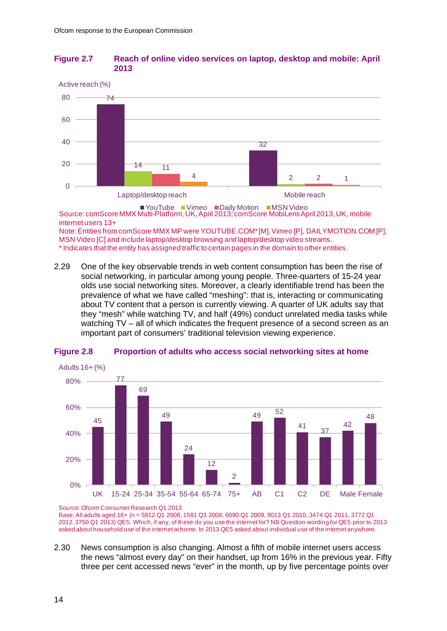#### **Figure 2.7 Reach of online video services on laptop, desktop and mobile: April 2013**



■ YouTube ■ Vimeo ■ Daily Motion ■ MSN Video Source: comScoreMMX Multi-Platform, UK, April 2013; comScore MobiLensApril 2013, UK, mobile internet users 13+ Note: Entities from comScore MMX MP were YOUTUBE.COM\* [M], Vimeo [P], DAILYMOTION.COM [P], MSN Video [C] and include laptop/desktop browsing and laptop/desktop video streams.

\* Indicates that the entity has assigned traffic to certain pages in the domain to other entities.

2.29 One of the key observable trends in web content consumption has been the rise of social networking, in particular among young people. Three-quarters of 15-24 year olds use social networking sites. Moreover, a clearly identifiable trend has been the prevalence of what we have called "meshing": that is, interacting or communicating about TV content that a person is currently viewing. A quarter of UK adults say that they "mesh" while watching TV, and half (49%) conduct unrelated media tasks while watching TV – all of which indicates the frequent presence of a second screen as an important part of consumers' traditional television viewing experience.



#### **Figure 2.8 Proportion of adults who access social networking sites at home**

Base: All adults aged 16+ (n = 5812 Q1 2008, 1581 Q3 2008, 6090 Q1 2009, 9013 Q1 2010, 3474 Q1 2011, 3772 Q1 2012, 3750 Q1 2013) QE5. Which, if any, of these do you use the internet for? NB Question wording for QE5 prior to 2013 asked about household use of the internet at home. In 2013 QE5 asked about individual use of the internet anywhere.

2.30 News consumption is also changing. Almost a fifth of mobile internet users access the news "almost every day" on their handset, up from 16% in the previous year. Fifty three per cent accessed news "ever" in the month, up by five percentage points over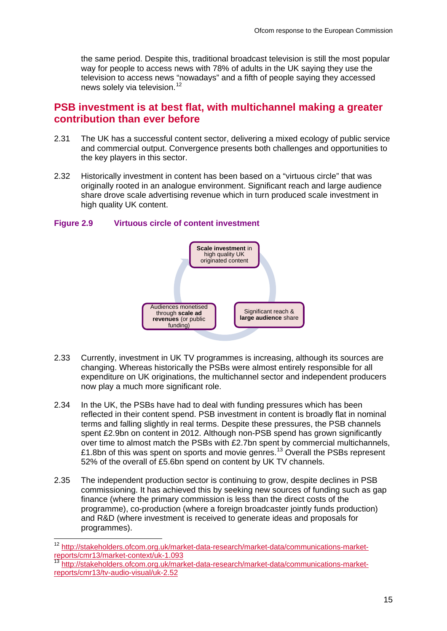the same period. Despite this, traditional broadcast television is still the most popular way for people to access news with 78% of adults in the UK saying they use the television to access news "nowadays" and a fifth of people saying they accessed news solely via television.<sup>[12](#page-15-0)</sup>

### **PSB investment is at best flat, with multichannel making a greater contribution than ever before**

- 2.31 The UK has a successful content sector, delivering a mixed ecology of public service and commercial output. Convergence presents both challenges and opportunities to the key players in this sector.
- 2.32 Historically investment in content has been based on a "virtuous circle" that was originally rooted in an analogue environment. Significant reach and large audience share drove scale advertising revenue which in turn produced scale investment in high quality UK content.

#### **Figure 2.9 Virtuous circle of content investment**



- 2.33 Currently, investment in UK TV programmes is increasing, although its sources are changing. Whereas historically the PSBs were almost entirely responsible for all expenditure on UK originations, the multichannel sector and independent producers now play a much more significant role.
- 2.34 In the UK, the PSBs have had to deal with funding pressures which has been reflected in their content spend. PSB investment in content is broadly flat in nominal terms and falling slightly in real terms. Despite these pressures, the PSB channels spent £2.9bn on content in 2012. Although non-PSB spend has grown significantly over time to almost match the PSBs with £2.7bn spent by commercial multichannels, £1.8bn of this was spent on sports and movie genres.<sup>[13](#page-15-1)</sup> Overall the PSBs represent 52% of the overall of £5.6bn spend on content by UK TV channels.
- 2.35 The independent production sector is continuing to grow, despite declines in PSB commissioning. It has achieved this by seeking new sources of funding such as gap finance (where the primary commission is less than the direct costs of the programme), co-production (where a foreign broadcaster jointly funds production) and R&D (where investment is received to generate ideas and proposals for programmes).

<span id="page-15-0"></span> <sup>12</sup> [http://stakeholders.ofcom.org.uk/market-data-research/market-data/communications-market](http://stakeholders.ofcom.org.uk/market-data-research/market-data/communications-market-reports/cmr13/market-context/uk-1.093)[reports/cmr13/market-context/uk-1.093](http://stakeholders.ofcom.org.uk/market-data-research/market-data/communications-market-reports/cmr13/market-context/uk-1.093)

<span id="page-15-1"></span><sup>13</sup> [http://stakeholders.ofcom.org.uk/market-data-research/market-data/communications-market](http://stakeholders.ofcom.org.uk/market-data-research/market-data/communications-market-reports/cmr13/tv-audio-visual/uk-2.52)[reports/cmr13/tv-audio-visual/uk-2.52](http://stakeholders.ofcom.org.uk/market-data-research/market-data/communications-market-reports/cmr13/tv-audio-visual/uk-2.52)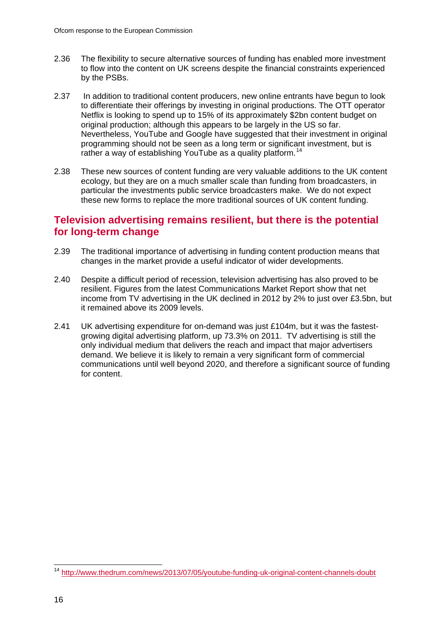- 2.36 The flexibility to secure alternative sources of funding has enabled more investment to flow into the content on UK screens despite the financial constraints experienced by the PSBs.
- 2.37 In addition to traditional content producers, new online entrants have begun to look to differentiate their offerings by investing in original productions. The OTT operator Netflix is looking to spend up to 15% of its approximately \$2bn content budget on original production; although this appears to be largely in the US so far. Nevertheless, YouTube and Google have suggested that their investment in original programming should not be seen as a long term or significant investment, but is rather a way of establishing YouTube as a quality platform.<sup>[14](#page-16-0)</sup>
- 2.38 These new sources of content funding are very valuable additions to the UK content ecology, but they are on a much smaller scale than funding from broadcasters, in particular the investments public service broadcasters make. We do not expect these new forms to replace the more traditional sources of UK content funding.

### **Television advertising remains resilient, but there is the potential for long-term change**

- 2.39 The traditional importance of advertising in funding content production means that changes in the market provide a useful indicator of wider developments.
- 2.40 Despite a difficult period of recession, television advertising has also proved to be resilient. Figures from the latest Communications Market Report show that net income from TV advertising in the UK declined in 2012 by 2% to just over £3.5bn, but it remained above its 2009 levels.
- 2.41 UK advertising expenditure for on-demand was just £104m, but it was the fastestgrowing digital advertising platform, up 73.3% on 2011. TV advertising is still the only individual medium that delivers the reach and impact that major advertisers demand. We believe it is likely to remain a very significant form of commercial communications until well beyond 2020, and therefore a significant source of funding for content.

<span id="page-16-0"></span> <sup>14</sup> <http://www.thedrum.com/news/2013/07/05/youtube-funding-uk-original-content-channels-doubt>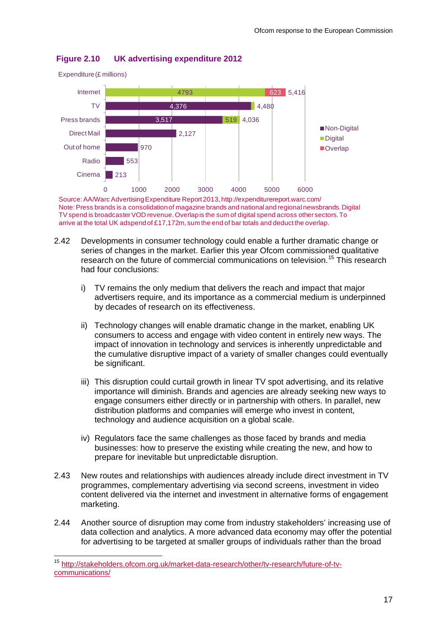

#### **Figure 2.10 UK advertising expenditure 2012**

Source: AA/Warc Advertising Expenditure Report 2013, http://expenditurereport.warc.com/ Note: Press brands is a consolidation of magazine brands and national and regional newsbrands. Digital TV spend is broadcaster VOD revenue. Overlap is the sum of digital spend across other sectors. To arrive at the total UK adspendof £17,172m, sum the end of bar totals and deduct the overlap.

- 2.42 Developments in consumer technology could enable a further dramatic change or series of changes in the market. Earlier this year Ofcom commissioned qualitative research on the future of commercial communications on television.[15](#page-17-0) This research had four conclusions:
	- i) TV remains the only medium that delivers the reach and impact that major advertisers require, and its importance as a commercial medium is underpinned by decades of research on its effectiveness.
	- ii) Technology changes will enable dramatic change in the market, enabling UK consumers to access and engage with video content in entirely new ways. The impact of innovation in technology and services is inherently unpredictable and the cumulative disruptive impact of a variety of smaller changes could eventually be significant.
	- iii) This disruption could curtail growth in linear TV spot advertising, and its relative importance will diminish. Brands and agencies are already seeking new ways to engage consumers either directly or in partnership with others. In parallel, new distribution platforms and companies will emerge who invest in content, technology and audience acquisition on a global scale.
	- iv) Regulators face the same challenges as those faced by brands and media businesses: how to preserve the existing while creating the new, and how to prepare for inevitable but unpredictable disruption.
- 2.43 New routes and relationships with audiences already include direct investment in TV programmes, complementary advertising via second screens, investment in video content delivered via the internet and investment in alternative forms of engagement marketing.
- 2.44 Another source of disruption may come from industry stakeholders' increasing use of data collection and analytics. A more advanced data economy may offer the potential for advertising to be targeted at smaller groups of individuals rather than the broad

<span id="page-17-0"></span> <sup>15</sup> [http://stakeholders.ofcom.org.uk/market-data-research/other/tv-research/future-of-tv](http://stakeholders.ofcom.org.uk/market-data-research/other/tv-research/future-of-tv-communications/)[communications/](http://stakeholders.ofcom.org.uk/market-data-research/other/tv-research/future-of-tv-communications/)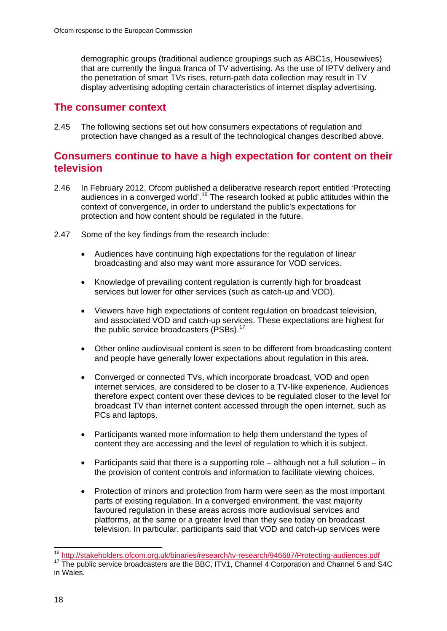demographic groups (traditional audience groupings such as ABC1s, Housewives) that are currently the lingua franca of TV advertising. As the use of IPTV delivery and the penetration of smart TVs rises, return-path data collection may result in TV display advertising adopting certain characteristics of internet display advertising.

## **The consumer context**

2.45 The following sections set out how consumers expectations of regulation and protection have changed as a result of the technological changes described above.

## **Consumers continue to have a high expectation for content on their television**

- 2.46 In February 2012, Ofcom published a deliberative research report entitled 'Protecting audiences in a converged world'.<sup>[16](#page-18-0)</sup> The research looked at public attitudes within the context of convergence, in order to understand the public's expectations for protection and how content should be regulated in the future.
- 2.47 Some of the key findings from the research include:
	- Audiences have continuing high expectations for the regulation of linear broadcasting and also may want more assurance for VOD services.
	- Knowledge of prevailing content regulation is currently high for broadcast services but lower for other services (such as catch-up and VOD).
	- Viewers have high expectations of content regulation on broadcast television, and associated VOD and catch-up services. These expectations are highest for the public service broadcasters (PSBs).<sup>[17](#page-18-1)</sup>
	- Other online audiovisual content is seen to be different from broadcasting content and people have generally lower expectations about regulation in this area.
	- Converged or connected TVs, which incorporate broadcast, VOD and open internet services, are considered to be closer to a TV-like experience. Audiences therefore expect content over these devices to be regulated closer to the level for broadcast TV than internet content accessed through the open internet, such as PCs and laptops.
	- Participants wanted more information to help them understand the types of content they are accessing and the level of regulation to which it is subject.
	- Participants said that there is a supporting role although not a full solution in the provision of content controls and information to facilitate viewing choices.
	- Protection of minors and protection from harm were seen as the most important parts of existing regulation. In a converged environment, the vast majority favoured regulation in these areas across more audiovisual services and platforms, at the same or a greater level than they see today on broadcast television. In particular, participants said that VOD and catch-up services were

<span id="page-18-1"></span><span id="page-18-0"></span><sup>&</sup>lt;sup>16</sup> <http://stakeholders.ofcom.org.uk/binaries/research/tv-research/946687/Protecting-audiences.pdf><br><sup>17</sup> The public service broadcasters are the BBC, ITV1, Channel 4 Corporation and Channel 5 and S4C in Wales.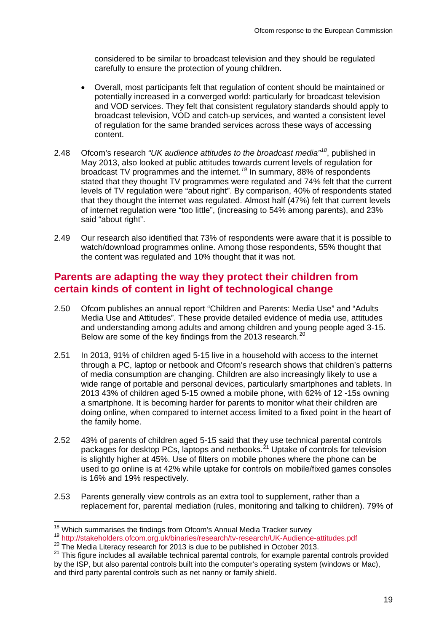considered to be similar to broadcast television and they should be regulated carefully to ensure the protection of young children.

- Overall, most participants felt that regulation of content should be maintained or potentially increased in a converged world: particularly for broadcast television and VOD services. They felt that consistent regulatory standards should apply to broadcast television, VOD and catch-up services, and wanted a consistent level of regulation for the same branded services across these ways of accessing content.
- 2.48 Ofcom's research "UK audience attitudes to the broadcast media"<sup>[18](#page-19-0)</sup>, published in May 2013, also looked at public attitudes towards current levels of regulation for broadcast TV programmes and the internet.*[19](#page-19-1)* In summary, 88% of respondents stated that they thought TV programmes were regulated and 74% felt that the current levels of TV regulation were "about right". By comparison, 40% of respondents stated that they thought the internet was regulated. Almost half (47%) felt that current levels of internet regulation were "too little", (increasing to 54% among parents), and 23% said "about right".
- 2.49 Our research also identified that 73% of respondents were aware that it is possible to watch/download programmes online. Among those respondents, 55% thought that the content was regulated and 10% thought that it was not.

## **Parents are adapting the way they protect their children from certain kinds of content in light of technological change**

- 2.50 Ofcom publishes an annual report "Children and Parents: Media Use" and "Adults Media Use and Attitudes". These provide detailed evidence of media use, attitudes and understanding among adults and among children and young people aged 3-15. Below are some of the key findings from the [20](#page-19-2)13 research.<sup>20</sup>
- 2.51 In 2013, 91% of children aged 5-15 live in a household with access to the internet through a PC, laptop or netbook and Ofcom's research shows that children's patterns of media consumption are changing. Children are also increasingly likely to use a wide range of portable and personal devices, particularly smartphones and tablets. In 2013 43% of children aged 5-15 owned a mobile phone, with 62% of 12 -15s owning a smartphone. It is becoming harder for parents to monitor what their children are doing online, when compared to internet access limited to a fixed point in the heart of the family home.
- 2.52 43% of parents of children aged 5-15 said that they use technical parental controls packages for desktop PCs, laptops and netbooks.<sup>[21](#page-19-3)</sup> Uptake of controls for television is slightly higher at 45%. Use of filters on mobile phones where the phone can be used to go online is at 42% while uptake for controls on mobile/fixed games consoles is 16% and 19% respectively.
- 2.53 Parents generally view controls as an extra tool to supplement, rather than a replacement for, parental mediation (rules, monitoring and talking to children). 79% of

<span id="page-19-1"></span><span id="page-19-0"></span><sup>&</sup>lt;sup>18</sup> Which summarises the findings from Ofcom's Annual Media Tracker survey<br>  $^{19}$  <http://stakeholders.ofcom.org.uk/binaries/research/tv-research/UK-Audience-attitudes.pdf><br>
<sup>20</sup> The Media Literacy research for 2013 is du

<span id="page-19-3"></span><span id="page-19-2"></span><sup>&</sup>lt;sup>21</sup> This figure includes all available technical parental controls, for example parental controls provided by the ISP, but also parental controls built into the computer's operating system (windows or Mac), and third party parental controls such as net nanny or family shield.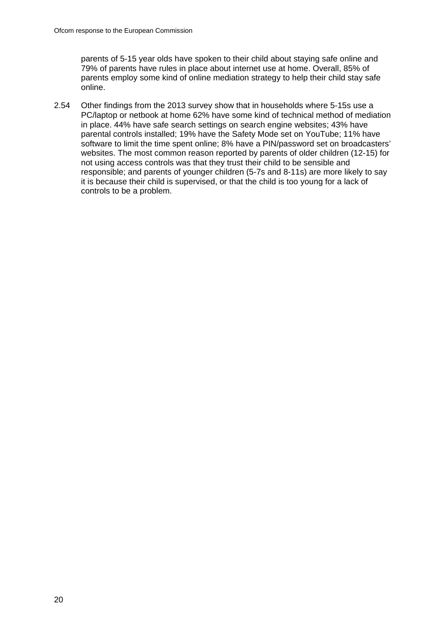parents of 5-15 year olds have spoken to their child about staying safe online and 79% of parents have rules in place about internet use at home. Overall, 85% of parents employ some kind of online mediation strategy to help their child stay safe online.

2.54 Other findings from the 2013 survey show that in households where 5-15s use a PC/laptop or netbook at home 62% have some kind of technical method of mediation in place. 44% have safe search settings on search engine websites; 43% have parental controls installed; 19% have the Safety Mode set on YouTube; 11% have software to limit the time spent online; 8% have a PIN/password set on broadcasters' websites. The most common reason reported by parents of older children (12-15) for not using access controls was that they trust their child to be sensible and responsible; and parents of younger children (5-7s and 8-11s) are more likely to say it is because their child is supervised, or that the child is too young for a lack of controls to be a problem.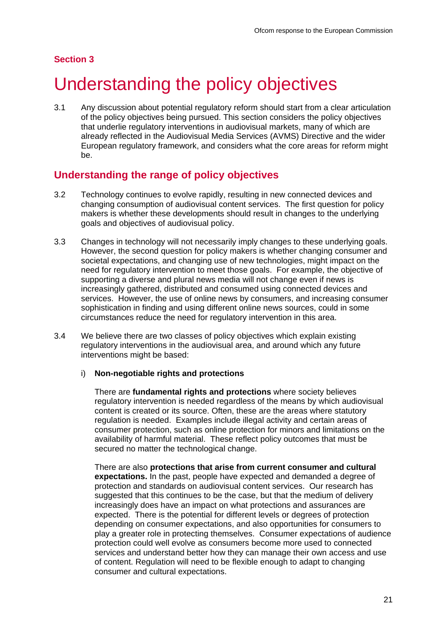### **Section 3**

# <span id="page-21-0"></span>Understanding the policy objectives

3.1 Any discussion about potential regulatory reform should start from a clear articulation of the policy objectives being pursued. This section considers the policy objectives that underlie regulatory interventions in audiovisual markets, many of which are already reflected in the Audiovisual Media Services (AVMS) Directive and the wider European regulatory framework, and considers what the core areas for reform might be.

## **Understanding the range of policy objectives**

- 3.2 Technology continues to evolve rapidly, resulting in new connected devices and changing consumption of audiovisual content services. The first question for policy makers is whether these developments should result in changes to the underlying goals and objectives of audiovisual policy.
- 3.3 Changes in technology will not necessarily imply changes to these underlying goals. However, the second question for policy makers is whether changing consumer and societal expectations, and changing use of new technologies, might impact on the need for regulatory intervention to meet those goals. For example, the objective of supporting a diverse and plural news media will not change even if news is increasingly gathered, distributed and consumed using connected devices and services. However, the use of online news by consumers, and increasing consumer sophistication in finding and using different online news sources, could in some circumstances reduce the need for regulatory intervention in this area.
- 3.4 We believe there are two classes of policy objectives which explain existing regulatory interventions in the audiovisual area, and around which any future interventions might be based:

#### i) **Non-negotiable rights and protections**

There are **fundamental rights and protections** where society believes regulatory intervention is needed regardless of the means by which audiovisual content is created or its source. Often, these are the areas where statutory regulation is needed. Examples include illegal activity and certain areas of consumer protection, such as online protection for minors and limitations on the availability of harmful material. These reflect policy outcomes that must be secured no matter the technological change.

There are also **protections that arise from current consumer and cultural expectations.** In the past, people have expected and demanded a degree of protection and standards on audiovisual content services. Our research has suggested that this continues to be the case, but that the medium of delivery increasingly does have an impact on what protections and assurances are expected. There is the potential for different levels or degrees of protection depending on consumer expectations, and also opportunities for consumers to play a greater role in protecting themselves.Consumer expectations of audience protection could well evolve as consumers become more used to connected services and understand better how they can manage their own access and use of content. Regulation will need to be flexible enough to adapt to changing consumer and cultural expectations.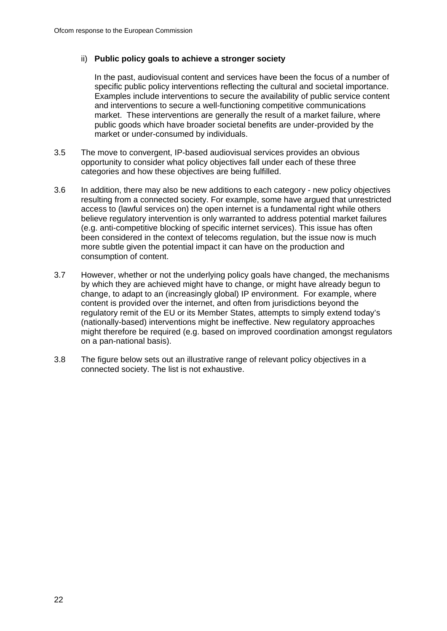#### ii) **Public policy goals to achieve a stronger society**

In the past, audiovisual content and services have been the focus of a number of specific public policy interventions reflecting the cultural and societal importance. Examples include interventions to secure the availability of public service content and interventions to secure a well-functioning competitive communications market. These interventions are generally the result of a market failure, where public goods which have broader societal benefits are under-provided by the market or under-consumed by individuals.

- 3.5 The move to convergent, IP-based audiovisual services provides an obvious opportunity to consider what policy objectives fall under each of these three categories and how these objectives are being fulfilled.
- 3.6 In addition, there may also be new additions to each category new policy objectives resulting from a connected society. For example, some have argued that unrestricted access to (lawful services on) the open internet is a fundamental right while others believe regulatory intervention is only warranted to address potential market failures (e.g. anti-competitive blocking of specific internet services). This issue has often been considered in the context of telecoms regulation, but the issue now is much more subtle given the potential impact it can have on the production and consumption of content.
- 3.7 However, whether or not the underlying policy goals have changed, the mechanisms by which they are achieved might have to change, or might have already begun to change, to adapt to an (increasingly global) IP environment. For example, where content is provided over the internet, and often from jurisdictions beyond the regulatory remit of the EU or its Member States, attempts to simply extend today's (nationally-based) interventions might be ineffective. New regulatory approaches might therefore be required (e.g. based on improved coordination amongst regulators on a pan-national basis).
- 3.8 The figure below sets out an illustrative range of relevant policy objectives in a connected society. The list is not exhaustive.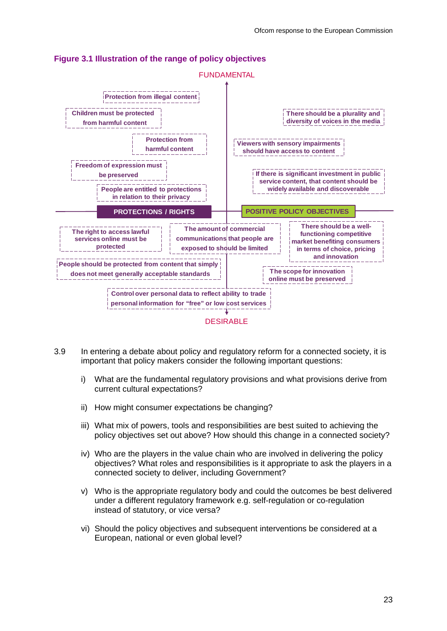

### **Figure 3.1 Illustration of the range of policy objectives**

- 3.9 In entering a debate about policy and regulatory reform for a connected society, it is important that policy makers consider the following important questions:
	- i) What are the fundamental regulatory provisions and what provisions derive from current cultural expectations?
	- ii) How might consumer expectations be changing?
	- iii) What mix of powers, tools and responsibilities are best suited to achieving the policy objectives set out above? How should this change in a connected society?
	- iv) Who are the players in the value chain who are involved in delivering the policy objectives? What roles and responsibilities is it appropriate to ask the players in a connected society to deliver, including Government?
	- v) Who is the appropriate regulatory body and could the outcomes be best delivered under a different regulatory framework e.g. self-regulation or co-regulation instead of statutory, or vice versa?
	- vi) Should the policy objectives and subsequent interventions be considered at a European, national or even global level?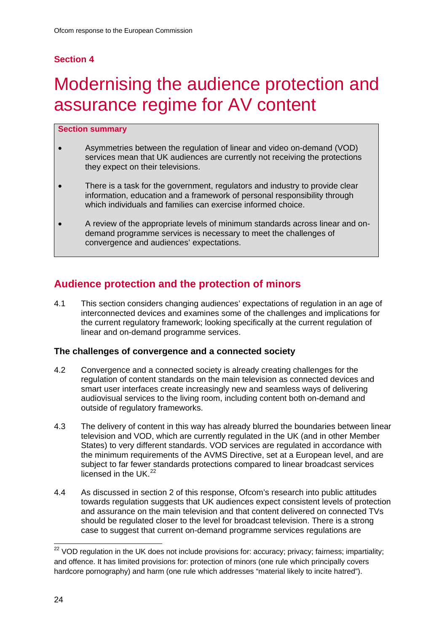## **Section 4**

# <span id="page-24-0"></span>Modernising the audience protection and assurance regime for AV content

#### **Section summary**

- Asymmetries between the regulation of linear and video on-demand (VOD) services mean that UK audiences are currently not receiving the protections they expect on their televisions.
- There is a task for the government, regulators and industry to provide clear information, education and a framework of personal responsibility through which individuals and families can exercise informed choice.
- A review of the appropriate levels of minimum standards across linear and ondemand programme services is necessary to meet the challenges of convergence and audiences' expectations.

## **Audience protection and the protection of minors**

4.1 This section considers changing audiences' expectations of regulation in an age of interconnected devices and examines some of the challenges and implications for the current regulatory framework; looking specifically at the current regulation of linear and on-demand programme services.

#### **The challenges of convergence and a connected society**

- 4.2 Convergence and a connected society is already creating challenges for the regulation of content standards on the main television as connected devices and smart user interfaces create increasingly new and seamless ways of delivering audiovisual services to the living room, including content both on-demand and outside of regulatory frameworks.
- 4.3 The delivery of content in this way has already blurred the boundaries between linear television and VOD, which are currently regulated in the UK (and in other Member States) to very different standards. VOD services are regulated in accordance with the minimum requirements of the AVMS Directive, set at a European level, and are subject to far fewer standards protections compared to linear broadcast services licensed in the UK $^{22}$  $^{22}$  $^{22}$
- 4.4 As discussed in section 2 of this response, Ofcom's research into public attitudes towards regulation suggests that UK audiences expect consistent levels of protection and assurance on the main television and that content delivered on connected TVs should be regulated closer to the level for broadcast television. There is a strong case to suggest that current on-demand programme services regulations are

<span id="page-24-1"></span><sup>&</sup>lt;sup>22</sup> VOD regulation in the UK does not include provisions for: accuracy; privacy; fairness; impartiality; and offence. It has limited provisions for: protection of minors (one rule which principally covers hardcore pornography) and harm (one rule which addresses "material likely to incite hatred").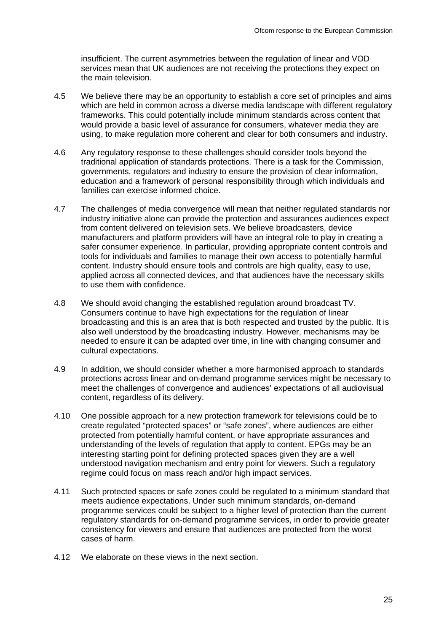insufficient. The current asymmetries between the regulation of linear and VOD services mean that UK audiences are not receiving the protections they expect on the main television.

- 4.5 We believe there may be an opportunity to establish a core set of principles and aims which are held in common across a diverse media landscape with different regulatory frameworks. This could potentially include minimum standards across content that would provide a basic level of assurance for consumers, whatever media they are using, to make regulation more coherent and clear for both consumers and industry.
- 4.6 Any regulatory response to these challenges should consider tools beyond the traditional application of standards protections. There is a task for the Commission, governments, regulators and industry to ensure the provision of clear information, education and a framework of personal responsibility through which individuals and families can exercise informed choice.
- 4.7 The challenges of media convergence will mean that neither regulated standards nor industry initiative alone can provide the protection and assurances audiences expect from content delivered on television sets. We believe broadcasters, device manufacturers and platform providers will have an integral role to play in creating a safer consumer experience. In particular, providing appropriate content controls and tools for individuals and families to manage their own access to potentially harmful content. Industry should ensure tools and controls are high quality, easy to use, applied across all connected devices, and that audiences have the necessary skills to use them with confidence.
- 4.8 We should avoid changing the established regulation around broadcast TV. Consumers continue to have high expectations for the regulation of linear broadcasting and this is an area that is both respected and trusted by the public. It is also well understood by the broadcasting industry. However, mechanisms may be needed to ensure it can be adapted over time, in line with changing consumer and cultural expectations.
- 4.9 In addition, we should consider whether a more harmonised approach to standards protections across linear and on-demand programme services might be necessary to meet the challenges of convergence and audiences' expectations of all audiovisual content, regardless of its delivery.
- 4.10 One possible approach for a new protection framework for televisions could be to create regulated "protected spaces" or "safe zones", where audiences are either protected from potentially harmful content, or have appropriate assurances and understanding of the levels of regulation that apply to content. EPGs may be an interesting starting point for defining protected spaces given they are a well understood navigation mechanism and entry point for viewers. Such a regulatory regime could focus on mass reach and/or high impact services.
- 4.11 Such protected spaces or safe zones could be regulated to a minimum standard that meets audience expectations. Under such minimum standards, on-demand programme services could be subject to a higher level of protection than the current regulatory standards for on-demand programme services, in order to provide greater consistency for viewers and ensure that audiences are protected from the worst cases of harm.
- 4.12 We elaborate on these views in the next section.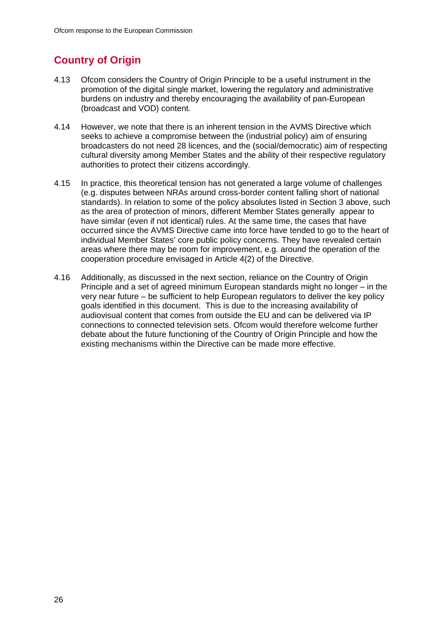## **Country of Origin**

- 4.13 Ofcom considers the Country of Origin Principle to be a useful instrument in the promotion of the digital single market, lowering the regulatory and administrative burdens on industry and thereby encouraging the availability of pan-European (broadcast and VOD) content.
- 4.14 However, we note that there is an inherent tension in the AVMS Directive which seeks to achieve a compromise between the (industrial policy) aim of ensuring broadcasters do not need 28 licences, and the (social/democratic) aim of respecting cultural diversity among Member States and the ability of their respective regulatory authorities to protect their citizens accordingly.
- 4.15 In practice, this theoretical tension has not generated a large volume of challenges (e.g. disputes between NRAs around cross-border content falling short of national standards). In relation to some of the policy absolutes listed in Section 3 above, such as the area of protection of minors, different Member States generally appear to have similar (even if not identical) rules. At the same time, the cases that have occurred since the AVMS Directive came into force have tended to go to the heart of individual Member States' core public policy concerns. They have revealed certain areas where there may be room for improvement, e.g. around the operation of the cooperation procedure envisaged in Article 4(2) of the Directive.
- 4.16 Additionally, as discussed in the next section, reliance on the Country of Origin Principle and a set of agreed minimum European standards might no longer – in the very near future – be sufficient to help European regulators to deliver the key policy goals identified in this document. This is due to the increasing availability of audiovisual content that comes from outside the EU and can be delivered via IP connections to connected television sets. Ofcom would therefore welcome further debate about the future functioning of the Country of Origin Principle and how the existing mechanisms within the Directive can be made more effective.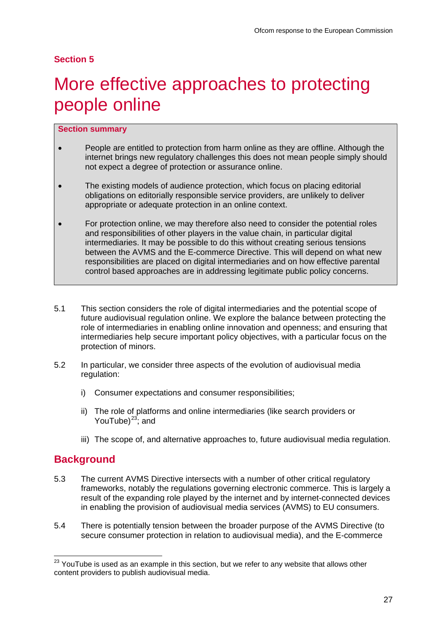#### **Section 5**

# <span id="page-27-0"></span>More effective approaches to protecting people online

#### **Section summary**

- People are entitled to protection from harm online as they are offline. Although the internet brings new regulatory challenges this does not mean people simply should not expect a degree of protection or assurance online.
- The existing models of audience protection, which focus on placing editorial obligations on editorially responsible service providers, are unlikely to deliver appropriate or adequate protection in an online context.
- For protection online, we may therefore also need to consider the potential roles and responsibilities of other players in the value chain, in particular digital intermediaries. It may be possible to do this without creating serious tensions between the AVMS and the E-commerce Directive. This will depend on what new responsibilities are placed on digital intermediaries and on how effective parental control based approaches are in addressing legitimate public policy concerns.
- 5.1 This section considers the role of digital intermediaries and the potential scope of future audiovisual regulation online. We explore the balance between protecting the role of intermediaries in enabling online innovation and openness; and ensuring that intermediaries help secure important policy objectives, with a particular focus on the protection of minors.
- 5.2 In particular, we consider three aspects of the evolution of audiovisual media regulation:
	- i) Consumer expectations and consumer responsibilities;
	- ii) The role of platforms and online intermediaries (like search providers or YouTube) $^{23}$ ; and
	- iii) The scope of, and alternative approaches to, future audiovisual media regulation.

### **Background**

- 5.3 The current AVMS Directive intersects with a number of other critical regulatory frameworks, notably the regulations governing electronic commerce. This is largely a result of the expanding role played by the internet and by internet-connected devices in enabling the provision of audiovisual media services (AVMS) to EU consumers.
- 5.4 There is potentially tension between the broader purpose of the AVMS Directive (to secure consumer protection in relation to audiovisual media), and the E-commerce

<span id="page-27-1"></span> $23$  YouTube is used as an example in this section, but we refer to any website that allows other content providers to publish audiovisual media.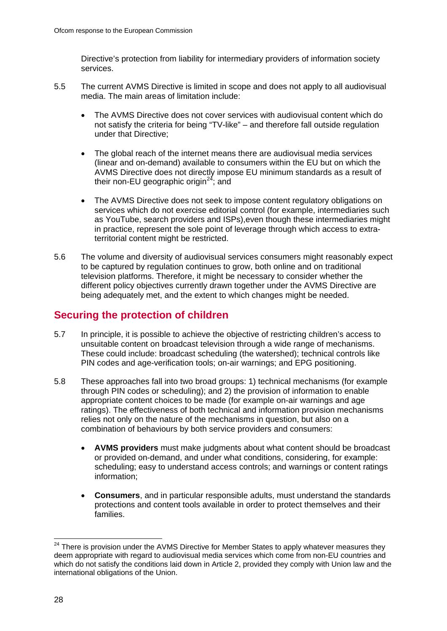Directive's protection from liability for intermediary providers of information society services.

- 5.5 The current AVMS Directive is limited in scope and does not apply to all audiovisual media. The main areas of limitation include:
	- The AVMS Directive does not cover services with audiovisual content which do not satisfy the criteria for being "TV-like" – and therefore fall outside regulation under that Directive;
	- The global reach of the internet means there are audiovisual media services (linear and on-demand) available to consumers within the EU but on which the AVMS Directive does not directly impose EU minimum standards as a result of their non-EU geographic origin<sup>[24](#page-28-0)</sup>; and
	- The AVMS Directive does not seek to impose content regulatory obligations on services which do not exercise editorial control (for example, intermediaries such as YouTube, search providers and ISPs),even though these intermediaries might in practice, represent the sole point of leverage through which access to extraterritorial content might be restricted.
- 5.6 The volume and diversity of audiovisual services consumers might reasonably expect to be captured by regulation continues to grow, both online and on traditional television platforms. Therefore, it might be necessary to consider whether the different policy objectives currently drawn together under the AVMS Directive are being adequately met, and the extent to which changes might be needed.

## **Securing the protection of children**

- 5.7 In principle, it is possible to achieve the objective of restricting children's access to unsuitable content on broadcast television through a wide range of mechanisms. These could include: broadcast scheduling (the watershed); technical controls like PIN codes and age-verification tools; on-air warnings; and EPG positioning.
- 5.8 These approaches fall into two broad groups: 1) technical mechanisms (for example through PIN codes or scheduling); and 2) the provision of information to enable appropriate content choices to be made (for example on-air warnings and age ratings). The effectiveness of both technical and information provision mechanisms relies not only on the nature of the mechanisms in question, but also on a combination of behaviours by both service providers and consumers:
	- **AVMS providers** must make judgments about what content should be broadcast or provided on-demand, and under what conditions, considering, for example: scheduling; easy to understand access controls; and warnings or content ratings information;
	- **Consumers**, and in particular responsible adults, must understand the standards protections and content tools available in order to protect themselves and their families.

<span id="page-28-0"></span><sup>&</sup>lt;sup>24</sup> There is provision under the AVMS Directive for Member States to apply whatever measures they deem appropriate with regard to audiovisual media services which come from non-EU countries and which do not satisfy the conditions laid down in Article 2, provided they comply with Union law and the international obligations of the Union.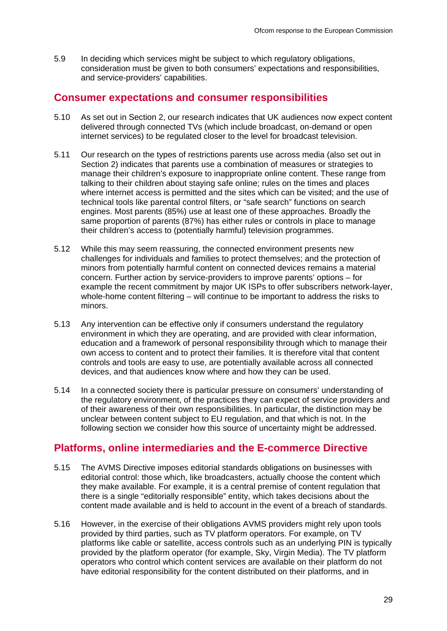5.9 In deciding which services might be subject to which regulatory obligations, consideration must be given to both consumers' expectations and responsibilities, and service-providers' capabilities.

### **Consumer expectations and consumer responsibilities**

- 5.10 As set out in Section 2, our research indicates that UK audiences now expect content delivered through connected TVs (which include broadcast, on-demand or open internet services) to be regulated closer to the level for broadcast television.
- 5.11 Our research on the types of restrictions parents use across media (also set out in Section 2) indicates that parents use a combination of measures or strategies to manage their children's exposure to inappropriate online content. These range from talking to their children about staying safe online; rules on the times and places where internet access is permitted and the sites which can be visited; and the use of technical tools like parental control filters, or "safe search" functions on search engines. Most parents (85%) use at least one of these approaches. Broadly the same proportion of parents (87%) has either rules or controls in place to manage their children's access to (potentially harmful) television programmes.
- 5.12 While this may seem reassuring, the connected environment presents new challenges for individuals and families to protect themselves; and the protection of minors from potentially harmful content on connected devices remains a material concern. Further action by service-providers to improve parents' options – for example the recent commitment by major UK ISPs to offer subscribers network-layer, whole-home content filtering – will continue to be important to address the risks to minors.
- 5.13 Any intervention can be effective only if consumers understand the regulatory environment in which they are operating, and are provided with clear information, education and a framework of personal responsibility through which to manage their own access to content and to protect their families. It is therefore vital that content controls and tools are easy to use, are potentially available across all connected devices, and that audiences know where and how they can be used.
- 5.14 In a connected society there is particular pressure on consumers' understanding of the regulatory environment, of the practices they can expect of service providers and of their awareness of their own responsibilities. In particular, the distinction may be unclear between content subject to EU regulation, and that which is not. In the following section we consider how this source of uncertainty might be addressed.

## **Platforms, online intermediaries and the E-commerce Directive**

- 5.15 The AVMS Directive imposes editorial standards obligations on businesses with editorial control: those which, like broadcasters, actually choose the content which they make available. For example, it is a central premise of content regulation that there is a single "editorially responsible" entity, which takes decisions about the content made available and is held to account in the event of a breach of standards.
- 5.16 However, in the exercise of their obligations AVMS providers might rely upon tools provided by third parties, such as TV platform operators. For example, on TV platforms like cable or satellite, access controls such as an underlying PIN is typically provided by the platform operator (for example, Sky, Virgin Media). The TV platform operators who control which content services are available on their platform do not have editorial responsibility for the content distributed on their platforms, and in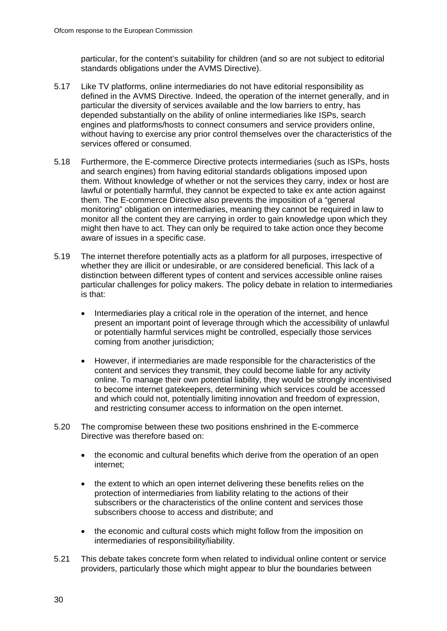particular, for the content's suitability for children (and so are not subject to editorial standards obligations under the AVMS Directive).

- 5.17 Like TV platforms, online intermediaries do not have editorial responsibility as defined in the AVMS Directive. Indeed, the operation of the internet generally, and in particular the diversity of services available and the low barriers to entry, has depended substantially on the ability of online intermediaries like ISPs, search engines and platforms/hosts to connect consumers and service providers online, without having to exercise any prior control themselves over the characteristics of the services offered or consumed.
- 5.18 Furthermore, the E-commerce Directive protects intermediaries (such as ISPs, hosts and search engines) from having editorial standards obligations imposed upon them. Without knowledge of whether or not the services they carry, index or host are lawful or potentially harmful, they cannot be expected to take ex ante action against them. The E-commerce Directive also prevents the imposition of a "general monitoring" obligation on intermediaries, meaning they cannot be required in law to monitor all the content they are carrying in order to gain knowledge upon which they might then have to act. They can only be required to take action once they become aware of issues in a specific case.
- 5.19 The internet therefore potentially acts as a platform for all purposes, irrespective of whether they are illicit or undesirable, or are considered beneficial. This lack of a distinction between different types of content and services accessible online raises particular challenges for policy makers. The policy debate in relation to intermediaries is that:
	- Intermediaries play a critical role in the operation of the internet, and hence present an important point of leverage through which the accessibility of unlawful or potentially harmful services might be controlled, especially those services coming from another jurisdiction;
	- However, if intermediaries are made responsible for the characteristics of the content and services they transmit, they could become liable for any activity online. To manage their own potential liability, they would be strongly incentivised to become internet gatekeepers, determining which services could be accessed and which could not, potentially limiting innovation and freedom of expression, and restricting consumer access to information on the open internet.
- 5.20 The compromise between these two positions enshrined in the E-commerce Directive was therefore based on:
	- the economic and cultural benefits which derive from the operation of an open internet;
	- the extent to which an open internet delivering these benefits relies on the protection of intermediaries from liability relating to the actions of their subscribers or the characteristics of the online content and services those subscribers choose to access and distribute; and
	- the economic and cultural costs which might follow from the imposition on intermediaries of responsibility/liability.
- 5.21 This debate takes concrete form when related to individual online content or service providers, particularly those which might appear to blur the boundaries between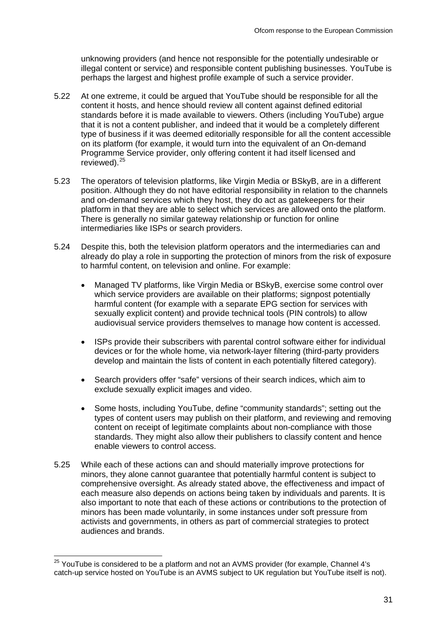unknowing providers (and hence not responsible for the potentially undesirable or illegal content or service) and responsible content publishing businesses. YouTube is perhaps the largest and highest profile example of such a service provider.

- 5.22 At one extreme, it could be argued that YouTube should be responsible for all the content it hosts, and hence should review all content against defined editorial standards before it is made available to viewers. Others (including YouTube) argue that it is not a content publisher, and indeed that it would be a completely different type of business if it was deemed editorially responsible for all the content accessible on its platform (for example, it would turn into the equivalent of an On-demand Programme Service provider, only offering content it had itself licensed and reviewed).<sup>[25](#page-31-0)</sup>
- 5.23 The operators of television platforms, like Virgin Media or BSkyB, are in a different position. Although they do not have editorial responsibility in relation to the channels and on-demand services which they host, they do act as gatekeepers for their platform in that they are able to select which services are allowed onto the platform. There is generally no similar gateway relationship or function for online intermediaries like ISPs or search providers.
- 5.24 Despite this, both the television platform operators and the intermediaries can and already do play a role in supporting the protection of minors from the risk of exposure to harmful content, on television and online. For example:
	- Managed TV platforms, like Virgin Media or BSkyB, exercise some control over which service providers are available on their platforms; signpost potentially harmful content (for example with a separate EPG section for services with sexually explicit content) and provide technical tools (PIN controls) to allow audiovisual service providers themselves to manage how content is accessed.
	- ISPs provide their subscribers with parental control software either for individual devices or for the whole home, via network-layer filtering (third-party providers develop and maintain the lists of content in each potentially filtered category).
	- Search providers offer "safe" versions of their search indices, which aim to exclude sexually explicit images and video.
	- Some hosts, including YouTube, define "community standards"; setting out the types of content users may publish on their platform, and reviewing and removing content on receipt of legitimate complaints about non-compliance with those standards. They might also allow their publishers to classify content and hence enable viewers to control access.
- 5.25 While each of these actions can and should materially improve protections for minors, they alone cannot guarantee that potentially harmful content is subject to comprehensive oversight. As already stated above, the effectiveness and impact of each measure also depends on actions being taken by individuals and parents. It is also important to note that each of these actions or contributions to the protection of minors has been made voluntarily, in some instances under soft pressure from activists and governments, in others as part of commercial strategies to protect audiences and brands.

<span id="page-31-0"></span><sup>&</sup>lt;sup>25</sup> YouTube is considered to be a platform and not an AVMS provider (for example, Channel 4's catch-up service hosted on YouTube is an AVMS subject to UK regulation but YouTube itself is not).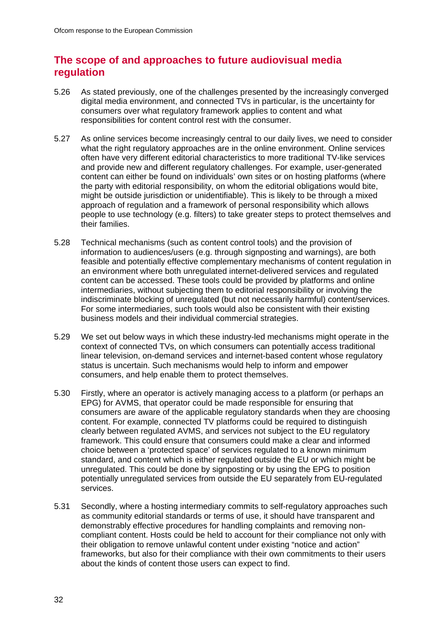## **The scope of and approaches to future audiovisual media regulation**

- 5.26 As stated previously, one of the challenges presented by the increasingly converged digital media environment, and connected TVs in particular, is the uncertainty for consumers over what regulatory framework applies to content and what responsibilities for content control rest with the consumer.
- 5.27 As online services become increasingly central to our daily lives, we need to consider what the right regulatory approaches are in the online environment. Online services often have very different editorial characteristics to more traditional TV-like services and provide new and different regulatory challenges. For example, user-generated content can either be found on individuals' own sites or on hosting platforms (where the party with editorial responsibility, on whom the editorial obligations would bite, might be outside jurisdiction or unidentifiable). This is likely to be through a mixed approach of regulation and a framework of personal responsibility which allows people to use technology (e.g. filters) to take greater steps to protect themselves and their families.
- 5.28 Technical mechanisms (such as content control tools) and the provision of information to audiences/users (e.g. through signposting and warnings), are both feasible and potentially effective complementary mechanisms of content regulation in an environment where both unregulated internet-delivered services and regulated content can be accessed. These tools could be provided by platforms and online intermediaries, without subjecting them to editorial responsibility or involving the indiscriminate blocking of unregulated (but not necessarily harmful) content/services. For some intermediaries, such tools would also be consistent with their existing business models and their individual commercial strategies.
- 5.29 We set out below ways in which these industry-led mechanisms might operate in the context of connected TVs, on which consumers can potentially access traditional linear television, on-demand services and internet-based content whose regulatory status is uncertain. Such mechanisms would help to inform and empower consumers, and help enable them to protect themselves.
- 5.30 Firstly, where an operator is actively managing access to a platform (or perhaps an EPG) for AVMS, that operator could be made responsible for ensuring that consumers are aware of the applicable regulatory standards when they are choosing content. For example, connected TV platforms could be required to distinguish clearly between regulated AVMS, and services not subject to the EU regulatory framework. This could ensure that consumers could make a clear and informed choice between a 'protected space' of services regulated to a known minimum standard, and content which is either regulated outside the EU or which might be unregulated. This could be done by signposting or by using the EPG to position potentially unregulated services from outside the EU separately from EU-regulated services.
- 5.31 Secondly, where a hosting intermediary commits to self-regulatory approaches such as community editorial standards or terms of use, it should have transparent and demonstrably effective procedures for handling complaints and removing noncompliant content. Hosts could be held to account for their compliance not only with their obligation to remove unlawful content under existing "notice and action" frameworks, but also for their compliance with their own commitments to their users about the kinds of content those users can expect to find.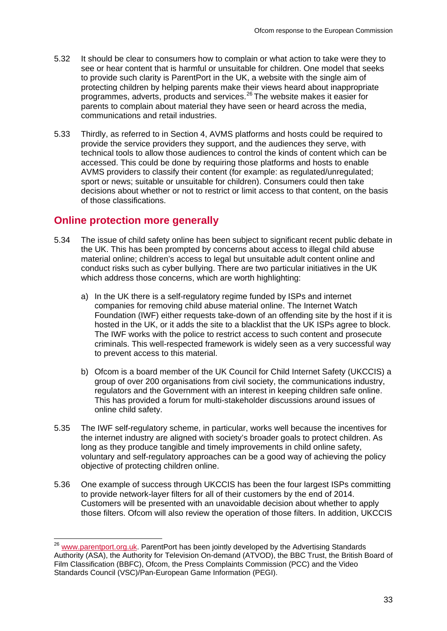- 5.32 It should be clear to consumers how to complain or what action to take were they to see or hear content that is harmful or unsuitable for children. One model that seeks to provide such clarity is ParentPort in the UK, a website with the single aim of protecting children by helping parents make their views heard about inappropriate programmes, adverts, products and services.[26](#page-33-0) The website makes it easier for parents to complain about material they have seen or heard across the media, communications and retail industries.
- 5.33 Thirdly, as referred to in Section 4, AVMS platforms and hosts could be required to provide the service providers they support, and the audiences they serve, with technical tools to allow those audiences to control the kinds of content which can be accessed. This could be done by requiring those platforms and hosts to enable AVMS providers to classify their content (for example: as regulated/unregulated; sport or news; suitable or unsuitable for children). Consumers could then take decisions about whether or not to restrict or limit access to that content, on the basis of those classifications.

### **Online protection more generally**

- 5.34 The issue of child safety online has been subject to significant recent public debate in the UK. This has been prompted by concerns about access to illegal child abuse material online; children's access to legal but unsuitable adult content online and conduct risks such as cyber bullying. There are two particular initiatives in the UK which address those concerns, which are worth highlighting:
	- a) In the UK there is a self-regulatory regime funded by ISPs and internet companies for removing child abuse material online. The Internet Watch Foundation (IWF) either requests take-down of an offending site by the host if it is hosted in the UK, or it adds the site to a blacklist that the UK ISPs agree to block. The IWF works with the police to restrict access to such content and prosecute criminals. This well-respected framework is widely seen as a very successful way to prevent access to this material.
	- b) Ofcom is a board member of the UK Council for Child Internet Safety (UKCCIS) a group of over 200 organisations from civil society, the communications industry, regulators and the Government with an interest in keeping children safe online. This has provided a forum for multi-stakeholder discussions around issues of online child safety.
- 5.35 The IWF self-regulatory scheme, in particular, works well because the incentives for the internet industry are aligned with society's broader goals to protect children. As long as they produce tangible and timely improvements in child online safety, voluntary and self-regulatory approaches can be a good way of achieving the policy objective of protecting children online.
- 5.36 One example of success through UKCCIS has been the four largest ISPs committing to provide network-layer filters for all of their customers by the end of 2014. Customers will be presented with an unavoidable decision about whether to apply those filters. Ofcom will also review the operation of those filters. In addition, UKCCIS

<span id="page-33-0"></span><sup>&</sup>lt;sup>26</sup> [www.parentport.org.uk.](http://www.parentport.org.uk/) ParentPort has been jointly developed by the Advertising Standards Authority (ASA), the Authority for Television On-demand (ATVOD), the BBC Trust, the British Board of Film Classification (BBFC), Ofcom, the Press Complaints Commission (PCC) and the Video Standards Council (VSC)/Pan-European Game Information (PEGI).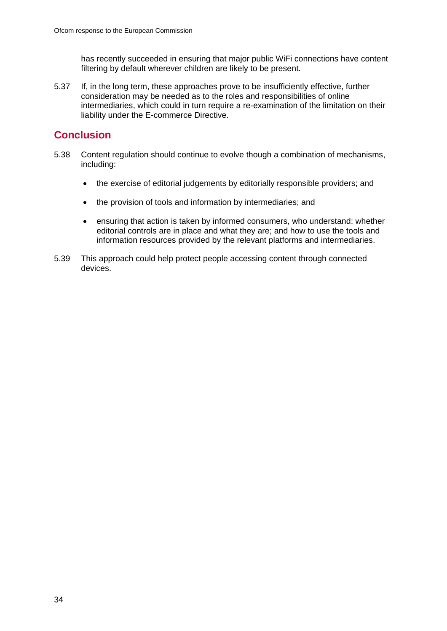has recently succeeded in ensuring that major public WiFi connections have content filtering by default wherever children are likely to be present.

5.37 If, in the long term, these approaches prove to be insufficiently effective, further consideration may be needed as to the roles and responsibilities of online intermediaries, which could in turn require a re-examination of the limitation on their liability under the E-commerce Directive.

## **Conclusion**

- 5.38 Content regulation should continue to evolve though a combination of mechanisms, including:
	- the exercise of editorial judgements by editorially responsible providers; and
	- the provision of tools and information by intermediaries; and
	- ensuring that action is taken by informed consumers, who understand: whether editorial controls are in place and what they are; and how to use the tools and information resources provided by the relevant platforms and intermediaries.
- 5.39 This approach could help protect people accessing content through connected devices.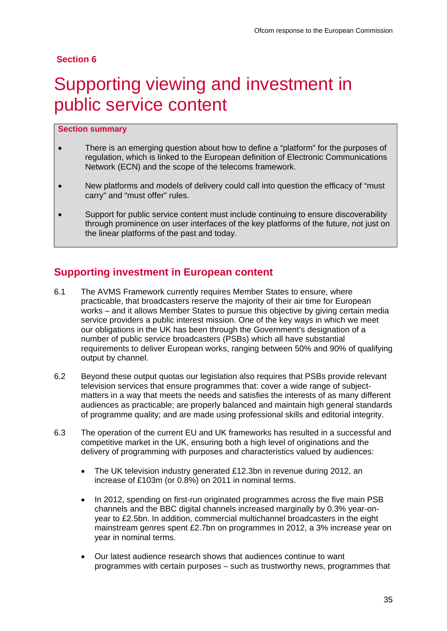#### **Section 6**

## <span id="page-35-0"></span>Supporting viewing and investment in public service content

#### **Section summary**

- There is an emerging question about how to define a "platform" for the purposes of regulation, which is linked to the European definition of Electronic Communications Network (ECN) and the scope of the telecoms framework.
- New platforms and models of delivery could call into question the efficacy of "must" carry" and "must offer" rules.
- Support for public service content must include continuing to ensure discoverability through prominence on user interfaces of the key platforms of the future, not just on the linear platforms of the past and today.

## **Supporting investment in European content**

- 6.1 The AVMS Framework currently requires Member States to ensure, where practicable, that broadcasters reserve the majority of their air time for European works – and it allows Member States to pursue this objective by giving certain media service providers a public interest mission. One of the key ways in which we meet our obligations in the UK has been through the Government's designation of a number of public service broadcasters (PSBs) which all have substantial requirements to deliver European works, ranging between 50% and 90% of qualifying output by channel.
- 6.2 Beyond these output quotas our legislation also requires that PSBs provide relevant television services that ensure programmes that: cover a wide range of subjectmatters in a way that meets the needs and satisfies the interests of as many different audiences as practicable; are properly balanced and maintain high general standards of programme quality; and are made using professional skills and editorial integrity.
- 6.3 The operation of the current EU and UK frameworks has resulted in a successful and competitive market in the UK, ensuring both a high level of originations and the delivery of programming with purposes and characteristics valued by audiences:
	- The UK television industry generated £12.3bn in revenue during 2012, an increase of £103m (or 0.8%) on 2011 in nominal terms.
	- In 2012, spending on first-run originated programmes across the five main PSB channels and the BBC digital channels increased marginally by 0.3% year-onyear to £2.5bn. In addition, commercial multichannel broadcasters in the eight mainstream genres spent £2.7bn on programmes in 2012, a 3% increase year on year in nominal terms.
	- Our latest audience research shows that audiences continue to want programmes with certain purposes – such as trustworthy news, programmes that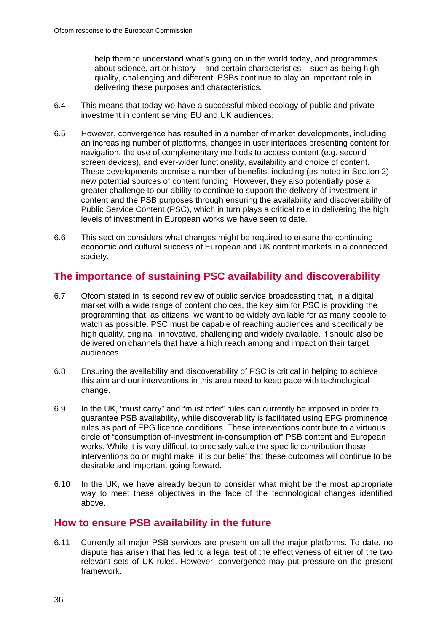help them to understand what's going on in the world today, and programmes about science, art or history – and certain characteristics – such as being highquality, challenging and different. PSBs continue to play an important role in delivering these purposes and characteristics.

- 6.4 This means that today we have a successful mixed ecology of public and private investment in content serving EU and UK audiences.
- 6.5 However, convergence has resulted in a number of market developments, including an increasing number of platforms, changes in user interfaces presenting content for navigation, the use of complementary methods to access content (e.g. second screen devices), and ever-wider functionality, availability and choice of content. These developments promise a number of benefits, including (as noted in Section 2) new potential sources of content funding. However, they also potentially pose a greater challenge to our ability to continue to support the delivery of investment in content and the PSB purposes through ensuring the availability and discoverability of Public Service Content (PSC), which in turn plays a critical role in delivering the high levels of investment in European works we have seen to date.
- 6.6 This section considers what changes might be required to ensure the continuing economic and cultural success of European and UK content markets in a connected society.

## **The importance of sustaining PSC availability and discoverability**

- 6.7 Ofcom stated in its second review of public service broadcasting that, in a digital market with a wide range of content choices, the key aim for PSC is providing the programming that, as citizens, we want to be widely available for as many people to watch as possible. PSC must be capable of reaching audiences and specifically be high quality, original, innovative, challenging and widely available. It should also be delivered on channels that have a high reach among and impact on their target audiences.
- 6.8 Ensuring the availability and discoverability of PSC is critical in helping to achieve this aim and our interventions in this area need to keep pace with technological change.
- 6.9 In the UK, "must carry" and "must offer" rules can currently be imposed in order to guarantee PSB availability, while discoverability is facilitated using EPG prominence rules as part of EPG licence conditions. These interventions contribute to a virtuous circle of "consumption of-investment in-consumption of" PSB content and European works. While it is very difficult to precisely value the specific contribution these interventions do or might make, it is our belief that these outcomes will continue to be desirable and important going forward.
- 6.10 In the UK, we have already begun to consider what might be the most appropriate way to meet these objectives in the face of the technological changes identified above.

### **How to ensure PSB availability in the future**

6.11 Currently all major PSB services are present on all the major platforms. To date, no dispute has arisen that has led to a legal test of the effectiveness of either of the two relevant sets of UK rules. However, convergence may put pressure on the present framework.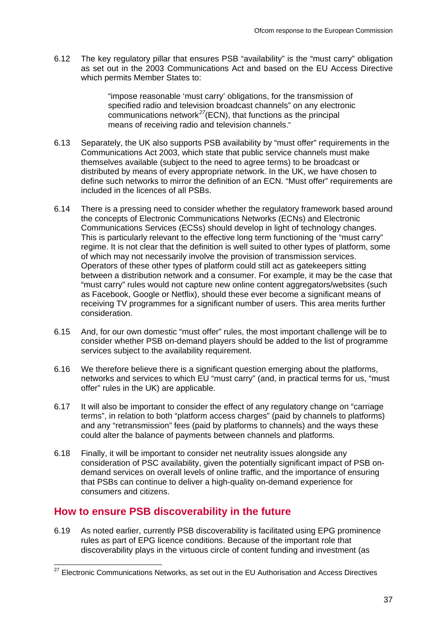6.12 The key regulatory pillar that ensures PSB "availability" is the "must carry" obligation as set out in the 2003 Communications Act and based on the EU Access Directive which permits Member States to:

> "impose reasonable 'must carry' obligations, for the transmission of specified radio and television broadcast channels" on any electronic communications network*[27](#page-37-0)*(ECN), that functions as the principal means of receiving radio and television channels."

- 6.13 Separately, the UK also supports PSB availability by "must offer" requirements in the Communications Act 2003, which state that public service channels must make themselves available (subject to the need to agree terms) to be broadcast or distributed by means of every appropriate network. In the UK, we have chosen to define such networks to mirror the definition of an ECN. "Must offer" requirements are included in the licences of all PSBs.
- 6.14 There is a pressing need to consider whether the regulatory framework based around the concepts of Electronic Communications Networks (ECNs) and Electronic Communications Services (ECSs) should develop in light of technology changes. This is particularly relevant to the effective long term functioning of the "must carry" regime. It is not clear that the definition is well suited to other types of platform, some of which may not necessarily involve the provision of transmission services. Operators of these other types of platform could still act as gatekeepers sitting between a distribution network and a consumer. For example, it may be the case that "must carry" rules would not capture new online content aggregators/websites (such as Facebook, Google or Netflix), should these ever become a significant means of receiving TV programmes for a significant number of users. This area merits further consideration.
- 6.15 And, for our own domestic "must offer" rules, the most important challenge will be to consider whether PSB on-demand players should be added to the list of programme services subject to the availability requirement.
- 6.16 We therefore believe there is a significant question emerging about the platforms, networks and services to which EU "must carry" (and, in practical terms for us, "must offer" rules in the UK) are applicable.
- 6.17 It will also be important to consider the effect of any regulatory change on "carriage terms", in relation to both "platform access charges" (paid by channels to platforms) and any "retransmission" fees (paid by platforms to channels) and the ways these could alter the balance of payments between channels and platforms.
- 6.18 Finally, it will be important to consider net neutrality issues alongside any consideration of PSC availability, given the potentially significant impact of PSB ondemand services on overall levels of online traffic, and the importance of ensuring that PSBs can continue to deliver a high-quality on-demand experience for consumers and citizens.

## **How to ensure PSB discoverability in the future**

6.19 As noted earlier, currently PSB discoverability is facilitated using EPG prominence rules as part of EPG licence conditions. Because of the important role that discoverability plays in the virtuous circle of content funding and investment (as

<span id="page-37-0"></span> $27$  Electronic Communications Networks, as set out in the EU Authorisation and Access Directives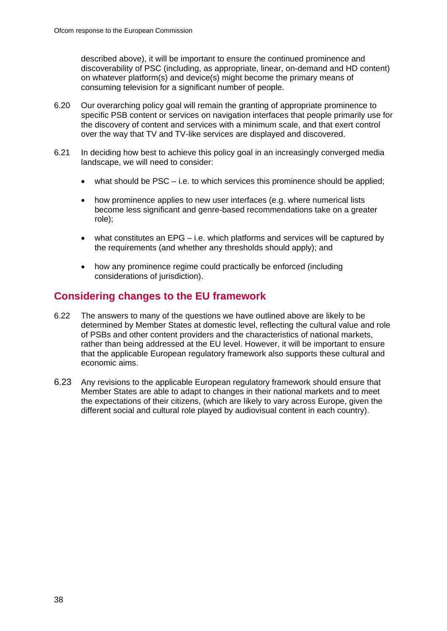described above), it will be important to ensure the continued prominence and discoverability of PSC (including, as appropriate, linear, on-demand and HD content) on whatever platform(s) and device(s) might become the primary means of consuming television for a significant number of people.

- 6.20 Our overarching policy goal will remain the granting of appropriate prominence to specific PSB content or services on navigation interfaces that people primarily use for the discovery of content and services with a minimum scale, and that exert control over the way that TV and TV-like services are displayed and discovered.
- 6.21 In deciding how best to achieve this policy goal in an increasingly converged media landscape, we will need to consider:
	- what should be  $PSC i.e.$  to which services this prominence should be applied;
	- how prominence applies to new user interfaces (e.g. where numerical lists become less significant and genre-based recommendations take on a greater role);
	- what constitutes an  $EPG i.e.$  which platforms and services will be captured by the requirements (and whether any thresholds should apply); and
	- how any prominence regime could practically be enforced (including considerations of jurisdiction).

## **Considering changes to the EU framework**

- 6.22 The answers to many of the questions we have outlined above are likely to be determined by Member States at domestic level, reflecting the cultural value and role of PSBs and other content providers and the characteristics of national markets, rather than being addressed at the EU level. However, it will be important to ensure that the applicable European regulatory framework also supports these cultural and economic aims.
- 6.23 Any revisions to the applicable European regulatory framework should ensure that Member States are able to adapt to changes in their national markets and to meet the expectations of their citizens, (which are likely to vary across Europe, given the different social and cultural role played by audiovisual content in each country).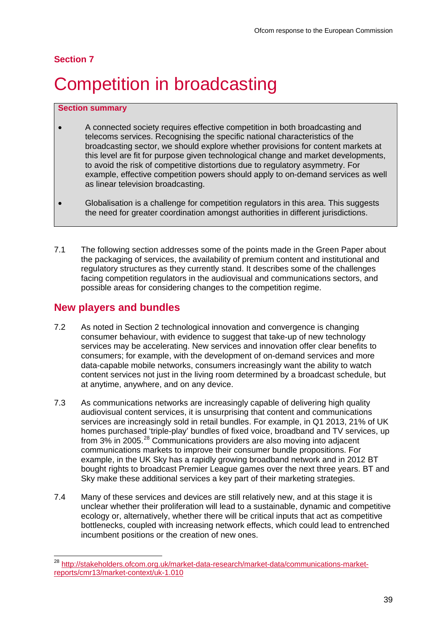#### **Section 7**

# <span id="page-39-0"></span>**Competition in broadcasting**

#### **Section summary**

- A connected society requires effective competition in both broadcasting and telecoms services. Recognising the specific national characteristics of the broadcasting sector, we should explore whether provisions for content markets at this level are fit for purpose given technological change and market developments, to avoid the risk of competitive distortions due to regulatory asymmetry. For example, effective competition powers should apply to on-demand services as well as linear television broadcasting.
- Globalisation is a challenge for competition regulators in this area. This suggests the need for greater coordination amongst authorities in different jurisdictions.
- 7.1 The following section addresses some of the points made in the Green Paper about the packaging of services, the availability of premium content and institutional and regulatory structures as they currently stand. It describes some of the challenges facing competition regulators in the audiovisual and communications sectors, and possible areas for considering changes to the competition regime.

### **New players and bundles**

- 7.2 As noted in Section 2 technological innovation and convergence is changing consumer behaviour, with evidence to suggest that take-up of new technology services may be accelerating. New services and innovation offer clear benefits to consumers; for example, with the development of on-demand services and more data-capable mobile networks, consumers increasingly want the ability to watch content services not just in the living room determined by a broadcast schedule, but at anytime, anywhere, and on any device.
- 7.3 As communications networks are increasingly capable of delivering high quality audiovisual content services, it is unsurprising that content and communications services are increasingly sold in retail bundles. For example, in Q1 2013, 21% of UK homes purchased 'triple-play' bundles of fixed voice, broadband and TV services, up from 3% in 2005.<sup>[28](#page-39-1)</sup> Communications providers are also moving into adjacent communications markets to improve their consumer bundle propositions. For example, in the UK Sky has a rapidly growing broadband network and in 2012 BT bought rights to broadcast Premier League games over the next three years. BT and Sky make these additional services a key part of their marketing strategies.
- 7.4 Many of these services and devices are still relatively new, and at this stage it is unclear whether their proliferation will lead to a sustainable, dynamic and competitive ecology or, alternatively, whether there will be critical inputs that act as competitive bottlenecks, coupled with increasing network effects, which could lead to entrenched incumbent positions or the creation of new ones.

<span id="page-39-1"></span> <sup>28</sup> [http://stakeholders.ofcom.org.uk/market-data-research/market-data/communications-market](http://stakeholders.ofcom.org.uk/market-data-research/market-data/communications-market-reports/cmr13/market-context/uk-1.010)[reports/cmr13/market-context/uk-1.010](http://stakeholders.ofcom.org.uk/market-data-research/market-data/communications-market-reports/cmr13/market-context/uk-1.010)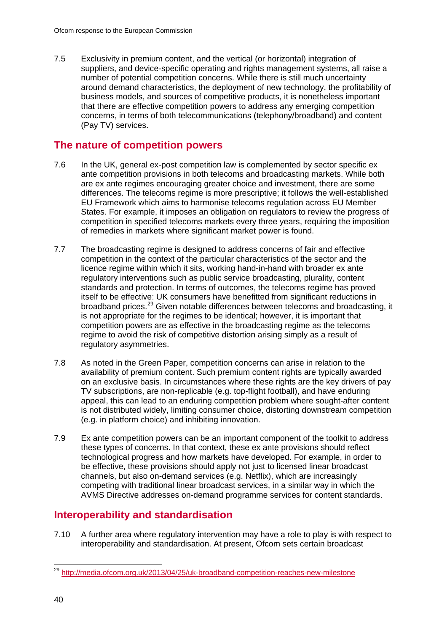7.5 Exclusivity in premium content, and the vertical (or horizontal) integration of suppliers, and device-specific operating and rights management systems, all raise a number of potential competition concerns. While there is still much uncertainty around demand characteristics, the deployment of new technology, the profitability of business models, and sources of competitive products, it is nonetheless important that there are effective competition powers to address any emerging competition concerns, in terms of both telecommunications (telephony/broadband) and content (Pay TV) services.

## **The nature of competition powers**

- 7.6 In the UK, general ex-post competition law is complemented by sector specific ex ante competition provisions in both telecoms and broadcasting markets. While both are ex ante regimes encouraging greater choice and investment, there are some differences. The telecoms regime is more prescriptive; it follows the well-established EU Framework which aims to harmonise telecoms regulation across EU Member States. For example, it imposes an obligation on regulators to review the progress of competition in specified telecoms markets every three years, requiring the imposition of remedies in markets where significant market power is found.
- 7.7 The broadcasting regime is designed to address concerns of fair and effective competition in the context of the particular characteristics of the sector and the licence regime within which it sits, working hand-in-hand with broader ex ante regulatory interventions such as public service broadcasting, plurality, content standards and protection. In terms of outcomes, the telecoms regime has proved itself to be effective: UK consumers have benefitted from significant reductions in broadband prices.<sup>[29](#page-40-0)</sup> Given notable differences between telecoms and broadcasting, it is not appropriate for the regimes to be identical; however, it is important that competition powers are as effective in the broadcasting regime as the telecoms regime to avoid the risk of competitive distortion arising simply as a result of regulatory asymmetries.
- 7.8 As noted in the Green Paper, competition concerns can arise in relation to the availability of premium content. Such premium content rights are typically awarded on an exclusive basis. In circumstances where these rights are the key drivers of pay TV subscriptions, are non-replicable (e.g. top-flight football), and have enduring appeal, this can lead to an enduring competition problem where sought-after content is not distributed widely, limiting consumer choice, distorting downstream competition (e.g. in platform choice) and inhibiting innovation.
- 7.9 Ex ante competition powers can be an important component of the toolkit to address these types of concerns. In that context, these ex ante provisions should reflect technological progress and how markets have developed. For example, in order to be effective, these provisions should apply not just to licensed linear broadcast channels, but also on-demand services (e.g. Netflix), which are increasingly competing with traditional linear broadcast services, in a similar way in which the AVMS Directive addresses on-demand programme services for content standards.

## **Interoperability and standardisation**

7.10 A further area where regulatory intervention may have a role to play is with respect to interoperability and standardisation. At present, Ofcom sets certain broadcast

<span id="page-40-0"></span> <sup>29</sup> <http://media.ofcom.org.uk/2013/04/25/uk-broadband-competition-reaches-new-milestone>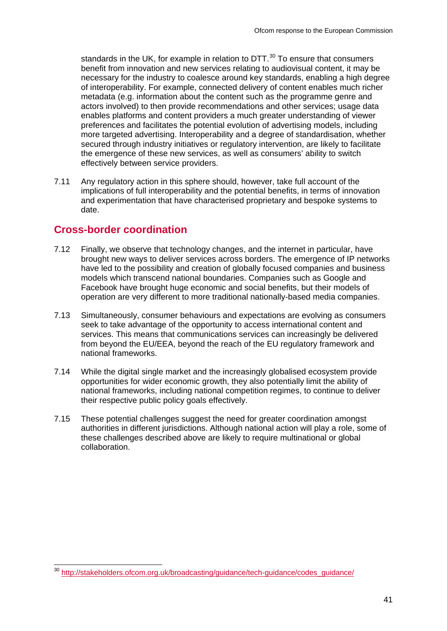standards in the UK, for example in relation to DTT.<sup>[30](#page-41-0)</sup> To ensure that consumers benefit from innovation and new services relating to audiovisual content, it may be necessary for the industry to coalesce around key standards, enabling a high degree of interoperability. For example, connected delivery of content enables much richer metadata (e.g. information about the content such as the programme genre and actors involved) to then provide recommendations and other services; usage data enables platforms and content providers a much greater understanding of viewer preferences and facilitates the potential evolution of advertising models, including more targeted advertising. Interoperability and a degree of standardisation, whether secured through industry initiatives or regulatory intervention, are likely to facilitate the emergence of these new services, as well as consumers' ability to switch effectively between service providers.

7.11 Any regulatory action in this sphere should, however, take full account of the implications of full interoperability and the potential benefits, in terms of innovation and experimentation that have characterised proprietary and bespoke systems to date.

### **Cross-border coordination**

- 7.12 Finally, we observe that technology changes, and the internet in particular, have brought new ways to deliver services across borders. The emergence of IP networks have led to the possibility and creation of globally focused companies and business models which transcend national boundaries. Companies such as Google and Facebook have brought huge economic and social benefits, but their models of operation are very different to more traditional nationally-based media companies.
- 7.13 Simultaneously, consumer behaviours and expectations are evolving as consumers seek to take advantage of the opportunity to access international content and services. This means that communications services can increasingly be delivered from beyond the EU/EEA, beyond the reach of the EU regulatory framework and national frameworks.
- 7.14 While the digital single market and the increasingly globalised ecosystem provide opportunities for wider economic growth, they also potentially limit the ability of national frameworks, including national competition regimes, to continue to deliver their respective public policy goals effectively.
- 7.15 These potential challenges suggest the need for greater coordination amongst authorities in different jurisdictions. Although national action will play a role, some of these challenges described above are likely to require multinational or global collaboration.

<span id="page-41-0"></span> <sup>30</sup> [http://stakeholders.ofcom.org.uk/broadcasting/guidance/tech-guidance/codes\\_guidance/](http://stakeholders.ofcom.org.uk/broadcasting/guidance/tech-guidance/codes_guidance/)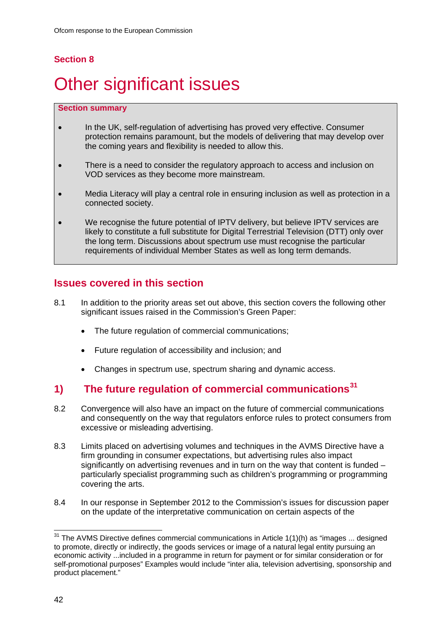## **Section 8**

# <span id="page-42-0"></span>**Other significant issues**

#### **Section summary**

- In the UK, self-regulation of advertising has proved very effective. Consumer protection remains paramount, but the models of delivering that may develop over the coming years and flexibility is needed to allow this.
- There is a need to consider the regulatory approach to access and inclusion on VOD services as they become more mainstream.
- Media Literacy will play a central role in ensuring inclusion as well as protection in a connected society.
- We recognise the future potential of IPTV delivery, but believe IPTV services are likely to constitute a full substitute for Digital Terrestrial Television (DTT) only over the long term. Discussions about spectrum use must recognise the particular requirements of individual Member States as well as long term demands.

## **Issues covered in this section**

- 8.1 In addition to the priority areas set out above, this section covers the following other significant issues raised in the Commission's Green Paper:
	- The future regulation of commercial communications;
	- Future regulation of accessibility and inclusion; and
	- Changes in spectrum use, spectrum sharing and dynamic access.

## **1) The future regulation of commercial communications[31](#page-42-1)**

- 8.2 Convergence will also have an impact on the future of commercial communications and consequently on the way that regulators enforce rules to protect consumers from excessive or misleading advertising.
- 8.3 Limits placed on advertising volumes and techniques in the AVMS Directive have a firm grounding in consumer expectations, but advertising rules also impact significantly on advertising revenues and in turn on the way that content is funded – particularly specialist programming such as children's programming or programming covering the arts.
- 8.4 In our response in September 2012 to the Commission's issues for discussion paper on the update of the interpretative communication on certain aspects of the

<span id="page-42-1"></span> $31$  The AVMS Directive defines commercial communications in Article 1(1)(h) as "images ... designed to promote, directly or indirectly, the goods services or image of a natural legal entity pursuing an economic activity ...included in a programme in return for payment or for similar consideration or for self-promotional purposes" Examples would include "inter alia, television advertising, sponsorship and product placement."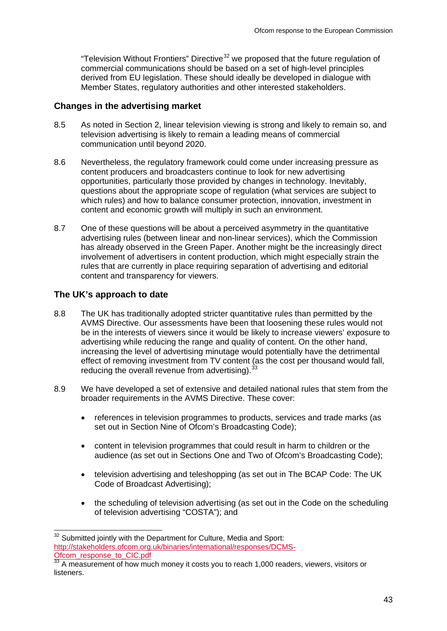"Television Without Frontiers" Directive<sup>[32](#page-43-0)</sup> we proposed that the future regulation of commercial communications should be based on a set of high-level principles derived from EU legislation. These should ideally be developed in dialogue with Member States, regulatory authorities and other interested stakeholders.

#### **Changes in the advertising market**

- 8.5 As noted in Section 2, linear television viewing is strong and likely to remain so, and television advertising is likely to remain a leading means of commercial communication until beyond 2020.
- 8.6 Nevertheless, the regulatory framework could come under increasing pressure as content producers and broadcasters continue to look for new advertising opportunities, particularly those provided by changes in technology. Inevitably, questions about the appropriate scope of regulation (what services are subject to which rules) and how to balance consumer protection, innovation, investment in content and economic growth will multiply in such an environment.
- 8.7 One of these questions will be about a perceived asymmetry in the quantitative advertising rules (between linear and non-linear services), which the Commission has already observed in the Green Paper. Another might be the increasingly direct involvement of advertisers in content production, which might especially strain the rules that are currently in place requiring separation of advertising and editorial content and transparency for viewers.

#### **The UK's approach to date**

- 8.8 The UK has traditionally adopted stricter quantitative rules than permitted by the AVMS Directive. Our assessments have been that loosening these rules would not be in the interests of viewers since it would be likely to increase viewers' exposure to advertising while reducing the range and quality of content. On the other hand, increasing the level of advertising minutage would potentially have the detrimental effect of removing investment from TV content (as the cost per thousand would fall, reducing the overall revenue from advertising).<sup>[33](#page-43-1)</sup>
- 8.9 We have developed a set of extensive and detailed national rules that stem from the broader requirements in the AVMS Directive. These cover:
	- references in television programmes to products, services and trade marks (as set out in Section Nine of Ofcom's Broadcasting Code):
	- content in television programmes that could result in harm to children or the audience (as set out in Sections One and Two of Ofcom's Broadcasting Code);
	- television advertising and teleshopping (as set out in The BCAP Code: The UK Code of Broadcast Advertising);
	- the scheduling of television advertising (as set out in the Code on the scheduling of television advertising "COSTA"); and

<span id="page-43-0"></span><sup>&</sup>lt;sup>32</sup> Submitted jointly with the Department for Culture, Media and Sport: [http://stakeholders.ofcom.org.uk/binaries/international/responses/DCMS-](http://stakeholders.ofcom.org.uk/binaries/international/responses/DCMS-Ofcom_response_to_CIC.pdf)[Ofcom\\_response\\_to\\_CIC.pdf](http://stakeholders.ofcom.org.uk/binaries/international/responses/DCMS-Ofcom_response_to_CIC.pdf)

<span id="page-43-1"></span> $\frac{33}{33}$  A measurement of how much money it costs you to reach 1,000 readers, viewers, visitors or **listeners**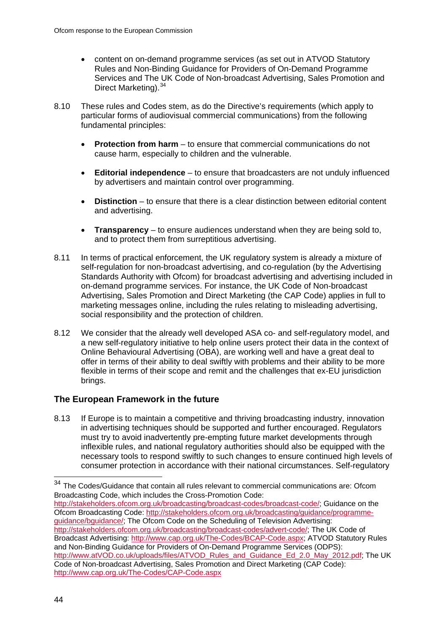- content on on-demand programme services (as set out in ATVOD Statutory Rules and Non-Binding Guidance for Providers of On-Demand Programme Services and The UK Code of Non-broadcast Advertising, Sales Promotion and Direct Marketing).<sup>[34](#page-44-0)</sup>
- 8.10 These rules and Codes stem, as do the Directive's requirements (which apply to particular forms of audiovisual commercial communications) from the following fundamental principles:
	- **Protection from harm** to ensure that commercial communications do not cause harm, especially to children and the vulnerable.
	- **Editorial independence** to ensure that broadcasters are not unduly influenced by advertisers and maintain control over programming.
	- **Distinction** to ensure that there is a clear distinction between editorial content and advertising.
	- **Transparency**  to ensure audiences understand when they are being sold to, and to protect them from surreptitious advertising.
- 8.11 In terms of practical enforcement, the UK regulatory system is already a mixture of self-regulation for non-broadcast advertising, and co-regulation (by the Advertising Standards Authority with Ofcom) for broadcast advertising and advertising included in on-demand programme services. For instance, the UK Code of Non-broadcast Advertising, Sales Promotion and Direct Marketing (the CAP Code) applies in full to marketing messages online, including the rules relating to misleading advertising, social responsibility and the protection of children.
- 8.12 We consider that the already well developed ASA co- and self-regulatory model, and a new self-regulatory initiative to help online users protect their data in the context of Online Behavioural Advertising (OBA), are working well and have a great deal to offer in terms of their ability to deal swiftly with problems and their ability to be more flexible in terms of their scope and remit and the challenges that ex-EU jurisdiction brings.

### **The European Framework in the future**

8.13 If Europe is to maintain a competitive and thriving broadcasting industry, innovation in advertising techniques should be supported and further encouraged. Regulators must try to avoid inadvertently pre-empting future market developments through inflexible rules, and national regulatory authorities should also be equipped with the necessary tools to respond swiftly to such changes to ensure continued high levels of consumer protection in accordance with their national circumstances. Self-regulatory

[http://stakeholders.ofcom.org.uk/broadcasting/broadcast-codes/broadcast-code/;](http://stakeholders.ofcom.org.uk/broadcasting/broadcast-codes/broadcast-code/) Guidance on the Ofcom Broadcasting Code: [http://stakeholders.ofcom.org.uk/broadcasting/guidance/programme](http://stakeholders.ofcom.org.uk/broadcasting/guidance/programme-guidance/bguidance/)[guidance/bguidance/;](http://stakeholders.ofcom.org.uk/broadcasting/guidance/programme-guidance/bguidance/) The Ofcom Code on the Scheduling of Television Advertising: [http://stakeholders.ofcom.org.uk/broadcasting/broadcast-codes/advert-code/;](http://stakeholders.ofcom.org.uk/broadcasting/broadcast-codes/advert-code/) The UK Code of Broadcast Advertising: [http://www.cap.org.uk/The-Codes/BCAP-Code.aspx;](http://www.cap.org.uk/The-Codes/BCAP-Code.aspx) ATVOD Statutory Rules and Non-Binding Guidance for Providers of On-Demand Programme Services (ODPS):

<span id="page-44-0"></span> $34$  The Codes/Guidance that contain all rules relevant to commercial communications are: Ofcom Broadcasting Code, which includes the Cross-Promotion Code:

[http://www.atVOD.co.uk/uploads/files/ATVOD\\_Rules\\_and\\_Guidance\\_Ed\\_2.0\\_May\\_2012.pdf;](http://www.atvod.co.uk/uploads/files/ATVOD_Rules_and_Guidance_Ed_2.0_May_2012.pdf) The UK Code of Non-broadcast Advertising, Sales Promotion and Direct Marketing (CAP Code): <http://www.cap.org.uk/The-Codes/CAP-Code.aspx>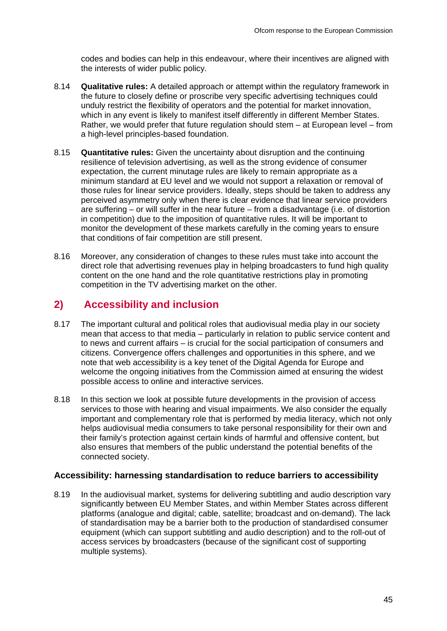codes and bodies can help in this endeavour, where their incentives are aligned with the interests of wider public policy.

- 8.14 **Qualitative rules:** A detailed approach or attempt within the regulatory framework in the future to closely define or proscribe very specific advertising techniques could unduly restrict the flexibility of operators and the potential for market innovation, which in any event is likely to manifest itself differently in different Member States. Rather, we would prefer that future regulation should stem – at European level – from a high-level principles-based foundation.
- 8.15 **Quantitative rules:** Given the uncertainty about disruption and the continuing resilience of television advertising, as well as the strong evidence of consumer expectation, the current minutage rules are likely to remain appropriate as a minimum standard at EU level and we would not support a relaxation or removal of those rules for linear service providers. Ideally, steps should be taken to address any perceived asymmetry only when there is clear evidence that linear service providers are suffering – or will suffer in the near future – from a disadvantage (i.e. of distortion in competition) due to the imposition of quantitative rules. It will be important to monitor the development of these markets carefully in the coming years to ensure that conditions of fair competition are still present.
- 8.16 Moreover, any consideration of changes to these rules must take into account the direct role that advertising revenues play in helping broadcasters to fund high quality content on the one hand and the role quantitative restrictions play in promoting competition in the TV advertising market on the other.

## **2) Accessibility and inclusion**

- 8.17 The important cultural and political roles that audiovisual media play in our society mean that access to that media – particularly in relation to public service content and to news and current affairs – is crucial for the social participation of consumers and citizens. Convergence offers challenges and opportunities in this sphere, and we note that web accessibility is a key tenet of the Digital Agenda for Europe and welcome the ongoing initiatives from the Commission aimed at ensuring the widest possible access to online and interactive services.
- 8.18 In this section we look at possible future developments in the provision of access services to those with hearing and visual impairments. We also consider the equally important and complementary role that is performed by media literacy, which not only helps audiovisual media consumers to take personal responsibility for their own and their family's protection against certain kinds of harmful and offensive content, but also ensures that members of the public understand the potential benefits of the connected society.

#### **Accessibility: harnessing standardisation to reduce barriers to accessibility**

8.19 In the audiovisual market, systems for delivering subtitling and audio description vary significantly between EU Member States, and within Member States across different platforms (analogue and digital; cable, satellite; broadcast and on-demand). The lack of standardisation may be a barrier both to the production of standardised consumer equipment (which can support subtitling and audio description) and to the roll-out of access services by broadcasters (because of the significant cost of supporting multiple systems).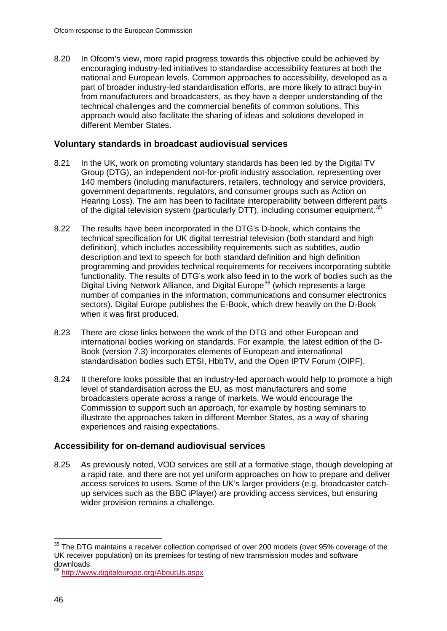8.20 In Ofcom's view, more rapid progress towards this objective could be achieved by encouraging industry-led initiatives to standardise accessibility features at both the national and European levels. Common approaches to accessibility, developed as a part of broader industry-led standardisation efforts, are more likely to attract buy-in from manufacturers and broadcasters, as they have a deeper understanding of the technical challenges and the commercial benefits of common solutions. This approach would also facilitate the sharing of ideas and solutions developed in different Member States.

#### **Voluntary standards in broadcast audiovisual services**

- 8.21 In the UK, work on promoting voluntary standards has been led by the Digital TV Group (DTG), an independent not-for-profit industry association, representing over 140 members (including manufacturers, retailers, technology and service providers, government departments, regulators, and consumer groups such as Action on Hearing Loss). The aim has been to facilitate interoperability between different parts of the digital television system (particularly DTT), including consumer equipment.<sup>[35](#page-46-0)</sup>
- 8.22 The results have been incorporated in the DTG's D-book, which contains the technical specification for UK digital terrestrial television (both standard and high definition), which includes accessibility requirements such as subtitles, audio description and text to speech for both standard definition and high definition programming and provides technical requirements for receivers incorporating subtitle functionality. The results of DTG's work also feed in to the work of bodies such as the Digital Living Network Alliance, and Digital Europe<sup>[36](#page-46-1)</sup> (which represents a large number of companies in the information, communications and consumer electronics sectors). Digital Europe publishes the E-Book, which drew heavily on the D-Book when it was first produced.
- 8.23 There are close links between the work of the DTG and other European and international bodies working on standards. For example, the latest edition of the D-Book (version 7.3) incorporates elements of European and international standardisation bodies such ETSI, HbbTV, and the Open IPTV Forum (OIPF).
- 8.24 It therefore looks possible that an industry-led approach would help to promote a high level of standardisation across the EU, as most manufacturers and some broadcasters operate across a range of markets. We would encourage the Commission to support such an approach, for example by hosting seminars to illustrate the approaches taken in different Member States, as a way of sharing experiences and raising expectations.

#### **Accessibility for on-demand audiovisual services**

8.25 As previously noted, VOD services are still at a formative stage, though developing at a rapid rate, and there are not yet uniform approaches on how to prepare and deliver access services to users. Some of the UK's larger providers (e.g. broadcaster catchup services such as the BBC iPlayer) are providing access services, but ensuring wider provision remains a challenge.

<span id="page-46-0"></span><sup>&</sup>lt;sup>35</sup> The DTG maintains a receiver collection comprised of over 200 models (over 95% coverage of the UK receiver population) on its premises for testing of new transmission modes and software<br>downloads.

<span id="page-46-1"></span><http://www.digitaleurope.org/AboutUs.aspx>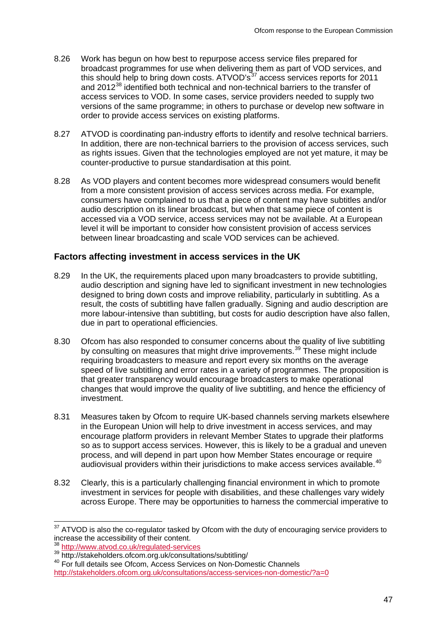- 8.26 Work has begun on how best to repurpose access service files prepared for broadcast programmes for use when delivering them as part of VOD services, and this should help to bring down costs.  $ATVOD's<sup>37</sup>$  $ATVOD's<sup>37</sup>$  $ATVOD's<sup>37</sup>$  access services reports for 2011 and 2012<sup>[38](#page-47-1)</sup> identified both technical and non-technical barriers to the transfer of access services to VOD. In some cases, service providers needed to supply two versions of the same programme; in others to purchase or develop new software in order to provide access services on existing platforms.
- 8.27 ATVOD is coordinating pan-industry efforts to identify and resolve technical barriers. In addition, there are non-technical barriers to the provision of access services, such as rights issues. Given that the technologies employed are not yet mature, it may be counter-productive to pursue standardisation at this point.
- 8.28 As VOD players and content becomes more widespread consumers would benefit from a more consistent provision of access services across media. For example, consumers have complained to us that a piece of content may have subtitles and/or audio description on its linear broadcast, but when that same piece of content is accessed via a VOD service, access services may not be available. At a European level it will be important to consider how consistent provision of access services between linear broadcasting and scale VOD services can be achieved.

#### **Factors affecting investment in access services in the UK**

- 8.29 In the UK, the requirements placed upon many broadcasters to provide subtitling, audio description and signing have led to significant investment in new technologies designed to bring down costs and improve reliability, particularly in subtitling. As a result, the costs of subtitling have fallen gradually. Signing and audio description are more labour-intensive than subtitling, but costs for audio description have also fallen, due in part to operational efficiencies.
- 8.30 Ofcom has also responded to consumer concerns about the quality of live subtitling by consulting on measures that might drive improvements.<sup>[39](#page-47-2)</sup> These might include requiring broadcasters to measure and report every six months on the average speed of live subtitling and error rates in a variety of programmes. The proposition is that greater transparency would encourage broadcasters to make operational changes that would improve the quality of live subtitling, and hence the efficiency of investment.
- 8.31 Measures taken by Ofcom to require UK-based channels serving markets elsewhere in the European Union will help to drive investment in access services, and may encourage platform providers in relevant Member States to upgrade their platforms so as to support access services. However, this is likely to be a gradual and uneven process, and will depend in part upon how Member States encourage or require audiovisual providers within their jurisdictions to make access services available.[40](#page-47-3)
- 8.32 Clearly, this is a particularly challenging financial environment in which to promote investment in services for people with disabilities, and these challenges vary widely across Europe. There may be opportunities to harness the commercial imperative to

<span id="page-47-0"></span> $37$  ATVOD is also the co-regulator tasked by Ofcom with the duty of encouraging service providers to increase the accessibility of their content.

<span id="page-47-1"></span><sup>38</sup> <http://www.atvod.co.uk/regulated-services><br>39 http://stakeholders.ofcom.org.uk/consultations/subtitling/

<span id="page-47-3"></span><span id="page-47-2"></span><sup>&</sup>lt;sup>40</sup> For full details see Ofcom, Access Services on Non-Domestic Channels

<http://stakeholders.ofcom.org.uk/consultations/access-services-non-domestic/?a=0>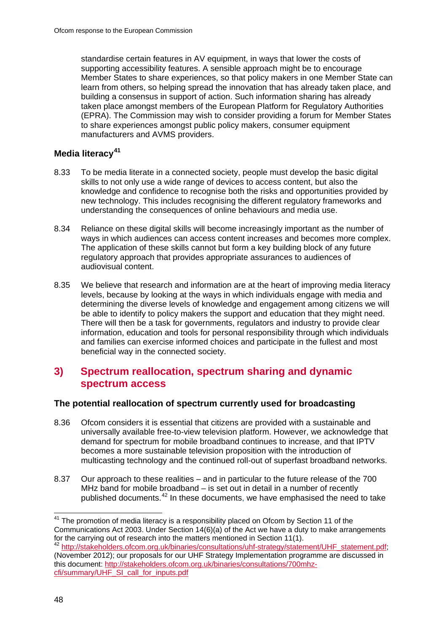standardise certain features in AV equipment, in ways that lower the costs of supporting accessibility features. A sensible approach might be to encourage Member States to share experiences, so that policy makers in one Member State can learn from others, so helping spread the innovation that has already taken place, and building a consensus in support of action. Such information sharing has already taken place amongst members of the European Platform for Regulatory Authorities (EPRA). The Commission may wish to consider providing a forum for Member States to share experiences amongst public policy makers, consumer equipment manufacturers and AVMS providers.

### **Media literacy[41](#page-48-0)**

- 8.33 To be media literate in a connected society, people must develop the basic digital skills to not only use a wide range of devices to access content, but also the knowledge and confidence to recognise both the risks and opportunities provided by new technology. This includes recognising the different regulatory frameworks and understanding the consequences of online behaviours and media use.
- 8.34 Reliance on these digital skills will become increasingly important as the number of ways in which audiences can access content increases and becomes more complex. The application of these skills cannot but form a key building block of any future regulatory approach that provides appropriate assurances to audiences of audiovisual content.
- 8.35 We believe that research and information are at the heart of improving media literacy levels, because by looking at the ways in which individuals engage with media and determining the diverse levels of knowledge and engagement among citizens we will be able to identify to policy makers the support and education that they might need. There will then be a task for governments, regulators and industry to provide clear information, education and tools for personal responsibility through which individuals and families can exercise informed choices and participate in the fullest and most beneficial way in the connected society.

## **3) Spectrum reallocation, spectrum sharing and dynamic spectrum access**

### **The potential reallocation of spectrum currently used for broadcasting**

- 8.36 Ofcom considers it is essential that citizens are provided with a sustainable and universally available free-to-view television platform. However, we acknowledge that demand for spectrum for mobile broadband continues to increase, and that IPTV becomes a more sustainable television proposition with the introduction of multicasting technology and the continued roll-out of superfast broadband networks.
- 8.37 Our approach to these realities and in particular to the future release of the 700 MHz band for mobile broadband – is set out in detail in a number of recently published documents.<sup>[42](#page-48-1)</sup> In these documents, we have emphasised the need to take

<span id="page-48-0"></span> $41$  The promotion of media literacy is a responsibility placed on Ofcom by Section 11 of the Communications Act 2003. Under Section 14(6)(a) of the Act we have a duty to make arrangements for the carrying out of research into the matters mentioned in Section 11(1).

<span id="page-48-1"></span><sup>42</sup> [http://stakeholders.ofcom.org.uk/binaries/consultations/uhf-strategy/statement/UHF\\_statement.pdf;](http://stakeholders.ofcom.org.uk/binaries/consultations/uhf-strategy/statement/UHF_statement.pdf) (November 2012); our proposals for our UHF Strategy Implementation programme are discussed in this document: [http://stakeholders.ofcom.org.uk/binaries/consultations/700mhz](http://stakeholders.ofcom.org.uk/binaries/consultations/700mhz-cfi/summary/UHF_SI_call_for_inputs.pdf)[cfi/summary/UHF\\_SI\\_call\\_for\\_inputs.pdf](http://stakeholders.ofcom.org.uk/binaries/consultations/700mhz-cfi/summary/UHF_SI_call_for_inputs.pdf)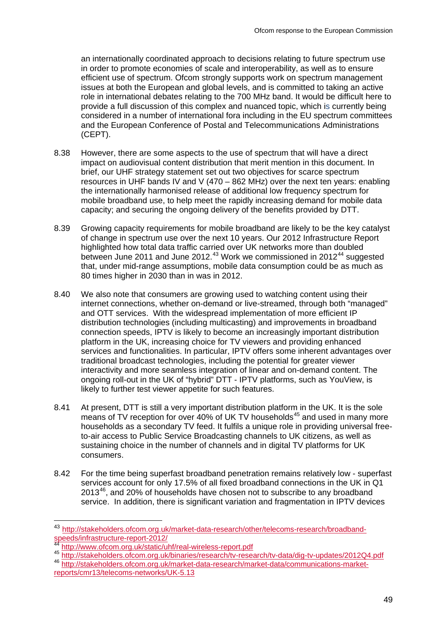an internationally coordinated approach to decisions relating to future spectrum use in order to promote economies of scale and interoperability, as well as to ensure efficient use of spectrum. Ofcom strongly supports work on spectrum management issues at both the European and global levels, and is committed to taking an active role in international debates relating to the 700 MHz band. It would be difficult here to provide a full discussion of this complex and nuanced topic, which is currently being considered in a number of international fora including in the EU spectrum committees and the European Conference of Postal and Telecommunications Administrations (CEPT).

- 8.38 However, there are some aspects to the use of spectrum that will have a direct impact on audiovisual content distribution that merit mention in this document. In brief, our UHF strategy statement set out two objectives for scarce spectrum resources in UHF bands IV and V (470 – 862 MHz) over the next ten years: enabling the internationally harmonised release of additional low frequency spectrum for mobile broadband use, to help meet the rapidly increasing demand for mobile data capacity; and securing the ongoing delivery of the benefits provided by DTT.
- 8.39 Growing capacity requirements for mobile broadband are likely to be the key catalyst of change in spectrum use over the next 10 years. Our 2012 Infrastructure Report highlighted how total data traffic carried over UK networks more than doubled between June 2011 and June 2012.<sup>[43](#page-49-0)</sup> Work we commissioned in 2012<sup>[44](#page-49-1)</sup> suggested that, under mid-range assumptions, mobile data consumption could be as much as 80 times higher in 2030 than in was in 2012.
- 8.40 We also note that consumers are growing used to watching content using their internet connections, whether on-demand or live-streamed, through both "managed" and OTT services. With the widespread implementation of more efficient IP distribution technologies (including multicasting) and improvements in broadband connection speeds, IPTV is likely to become an increasingly important distribution platform in the UK, increasing choice for TV viewers and providing enhanced services and functionalities. In particular, IPTV offers some inherent advantages over traditional broadcast technologies, including the potential for greater viewer interactivity and more seamless integration of linear and on-demand content. The ongoing roll-out in the UK of "hybrid" DTT - IPTV platforms, such as YouView, is likely to further test viewer appetite for such features.
- 8.41 At present, DTT is still a very important distribution platform in the UK. It is the sole means of TV reception for over 40% of UK TV households<sup>[45](#page-49-2)</sup> and used in many more households as a secondary TV feed. It fulfils a unique role in providing universal freeto-air access to Public Service Broadcasting channels to UK citizens, as well as sustaining choice in the number of channels and in digital TV platforms for UK consumers.
- 8.42 For the time being superfast broadband penetration remains relatively low superfast services account for only 17.5% of all fixed broadband connections in the UK in Q1 2013<sup>46</sup>, and 20% of households have chosen not to subscribe to any broadband service. In addition, there is significant variation and fragmentation in IPTV devices

<span id="page-49-0"></span> <sup>43</sup> [http://stakeholders.ofcom.org.uk/market-data-research/other/telecoms-research/broadband](http://stakeholders.ofcom.org.uk/market-data-research/other/telecoms-research/broadband-speeds/infrastructure-report-2012/)[speeds/infrastructure-report-2012/](http://stakeholders.ofcom.org.uk/market-data-research/other/telecoms-research/broadband-speeds/infrastructure-report-2012/)<br><sup>44</sup> http://www.ofcom.org.uk/static/uhf/real-wireless-report.pdf

<span id="page-49-3"></span><span id="page-49-2"></span><span id="page-49-1"></span><sup>45</sup> <http://stakeholders.ofcom.org.uk/binaries/research/tv-research/tv-data/dig-tv-updates/2012Q4.pdf><br>46 [http://stakeholders.ofcom.org.uk/market-data-research/market-data/communications-market](http://stakeholders.ofcom.org.uk/market-data-research/market-data/communications-market-reports/cmr13/telecoms-networks/UK-5.13)[reports/cmr13/telecoms-networks/UK-5.13](http://stakeholders.ofcom.org.uk/market-data-research/market-data/communications-market-reports/cmr13/telecoms-networks/UK-5.13)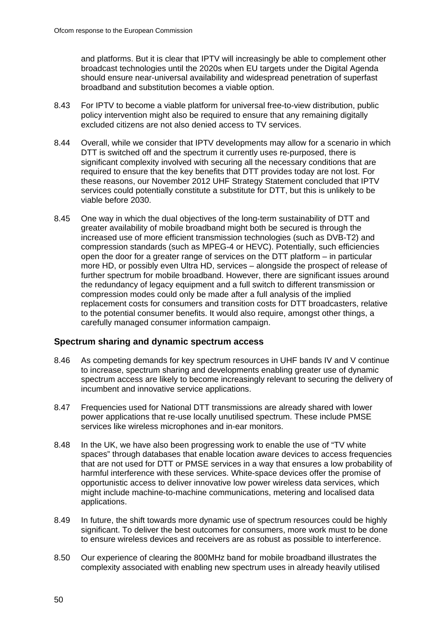and platforms. But it is clear that IPTV will increasingly be able to complement other broadcast technologies until the 2020s when EU targets under the Digital Agenda should ensure near-universal availability and widespread penetration of superfast broadband and substitution becomes a viable option.

- 8.43 For IPTV to become a viable platform for universal free-to-view distribution, public policy intervention might also be required to ensure that any remaining digitally excluded citizens are not also denied access to TV services.
- 8.44 Overall, while we consider that IPTV developments may allow for a scenario in which DTT is switched off and the spectrum it currently uses re-purposed, there is significant complexity involved with securing all the necessary conditions that are required to ensure that the key benefits that DTT provides today are not lost. For these reasons, our November 2012 UHF Strategy Statement concluded that IPTV services could potentially constitute a substitute for DTT, but this is unlikely to be viable before 2030.
- 8.45 One way in which the dual objectives of the long-term sustainability of DTT and greater availability of mobile broadband might both be secured is through the increased use of more efficient transmission technologies (such as DVB-T2) and compression standards (such as MPEG-4 or HEVC). Potentially, such efficiencies open the door for a greater range of services on the DTT platform – in particular more HD, or possibly even Ultra HD, services – alongside the prospect of release of further spectrum for mobile broadband. However, there are significant issues around the redundancy of legacy equipment and a full switch to different transmission or compression modes could only be made after a full analysis of the implied replacement costs for consumers and transition costs for DTT broadcasters, relative to the potential consumer benefits. It would also require, amongst other things, a carefully managed consumer information campaign.

#### **Spectrum sharing and dynamic spectrum access**

- 8.46 As competing demands for key spectrum resources in UHF bands IV and V continue to increase, spectrum sharing and developments enabling greater use of dynamic spectrum access are likely to become increasingly relevant to securing the delivery of incumbent and innovative service applications.
- 8.47 Frequencies used for National DTT transmissions are already shared with lower power applications that re-use locally unutilised spectrum. These include PMSE services like wireless microphones and in-ear monitors.
- 8.48 In the UK, we have also been progressing work to enable the use of "TV white" spaces" through databases that enable location aware devices to access frequencies that are not used for DTT or PMSE services in a way that ensures a low probability of harmful interference with these services. White-space devices offer the promise of opportunistic access to deliver innovative low power wireless data services, which might include machine-to-machine communications, metering and localised data applications.
- 8.49 In future, the shift towards more dynamic use of spectrum resources could be highly significant. To deliver the best outcomes for consumers, more work must to be done to ensure wireless devices and receivers are as robust as possible to interference.
- 8.50 Our experience of clearing the 800MHz band for mobile broadband illustrates the complexity associated with enabling new spectrum uses in already heavily utilised